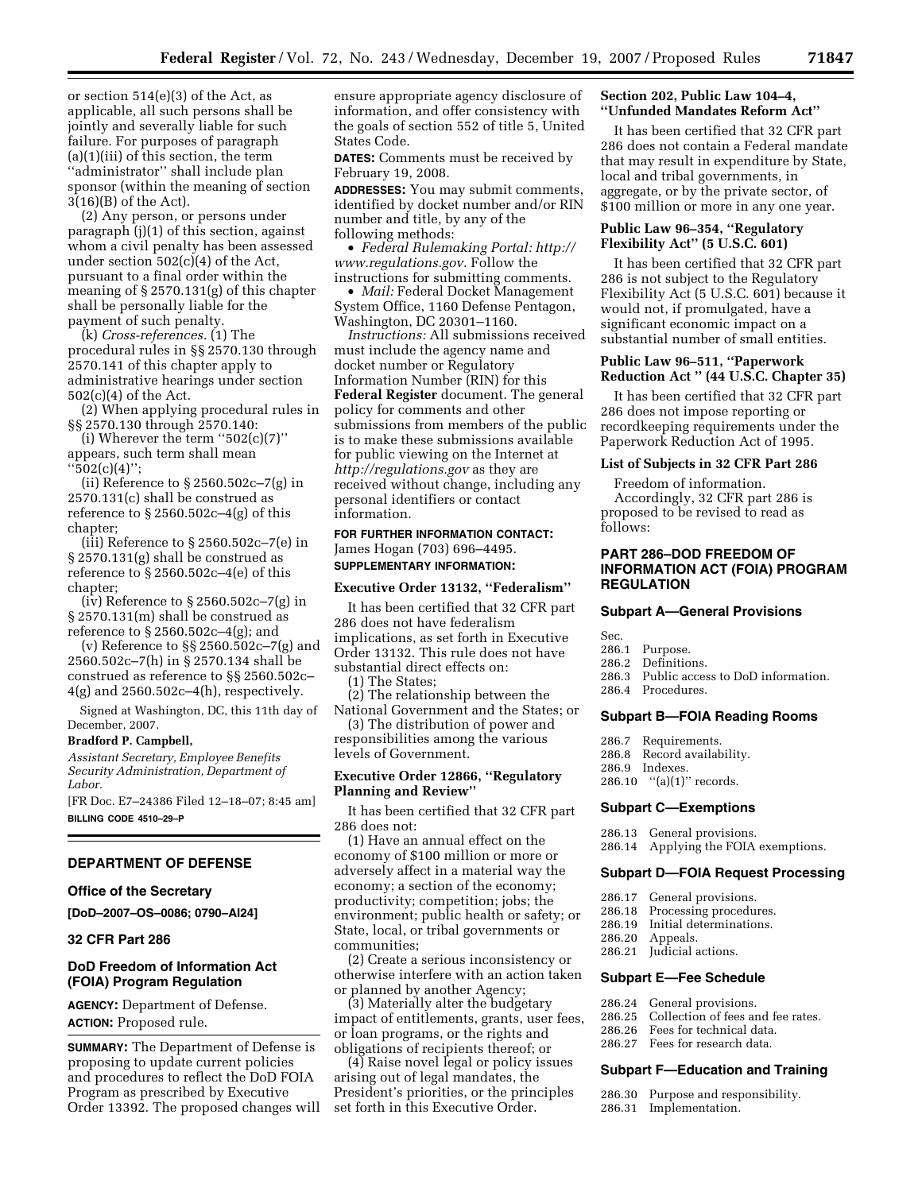or section 514(e)(3) of the Act, as applicable, all such persons shall be jointly and severally liable for such failure. For purposes of paragraph (a)(1)(iii) of this section, the term ''administrator'' shall include plan sponsor (within the meaning of section 3(16)(B) of the Act).

(2) Any person, or persons under paragraph (j)(1) of this section, against whom a civil penalty has been assessed under section 502(c)(4) of the Act, pursuant to a final order within the meaning of § 2570.131(g) of this chapter shall be personally liable for the payment of such penalty.

(k) *Cross-references.* (1) The procedural rules in §§ 2570.130 through 2570.141 of this chapter apply to administrative hearings under section 502(c)(4) of the Act.

(2) When applying procedural rules in §§ 2570.130 through 2570.140:

(i) Wherever the term  $"502(c)(7)"$ appears, such term shall mean ''502(c)(4)'';

(ii) Reference to § 2560.502c–7(g) in 2570.131(c) shall be construed as reference to § 2560.502c–4(g) of this chapter;

(iii) Reference to § 2560.502c–7(e) in § 2570.131(g) shall be construed as reference to  $\S 2560.502c-4(e)$  of this chapter;

(iv) Reference to § 2560.502c–7(g) in § 2570.131(m) shall be construed as reference to  $\S 2560.502c-4(g)$ ; and

(v) Reference to §§ 2560.502c–7(g) and 2560.502c–7(h) in § 2570.134 shall be construed as reference to §§ 2560.502c– 4(g) and 2560.502c–4(h), respectively.

Signed at Washington, DC, this 11th day of December, 2007.

#### **Bradford P. Campbell,**

*Assistant Secretary, Employee Benefits Security Administration, Department of Labor.* 

[FR Doc. E7–24386 Filed 12–18–07; 8:45 am] **BILLING CODE 4510–29–P** 

# **DEPARTMENT OF DEFENSE**

#### **Office of the Secretary**

**[DoD–2007–OS–0086; 0790–AI24]** 

# **32 CFR Part 286**

# **DoD Freedom of Information Act (FOIA) Program Regulation**

**AGENCY:** Department of Defense. **ACTION:** Proposed rule.

**SUMMARY:** The Department of Defense is proposing to update current policies and procedures to reflect the DoD FOIA Program as prescribed by Executive Order 13392. The proposed changes will ensure appropriate agency disclosure of information, and offer consistency with the goals of section 552 of title 5, United States Code.

**DATES:** Comments must be received by February 19, 2008.

**ADDRESSES:** You may submit comments, identified by docket number and/or RIN number and title, by any of the following methods:

• *Federal Rulemaking Portal: [http://](http://www.regulations.gov) [www.regulations.gov](http://www.regulations.gov)*. Follow the instructions for submitting comments.

• *Mail:* Federal Docket Management System Office, 1160 Defense Pentagon, Washington, DC 20301–1160.

*Instructions:* All submissions received must include the agency name and docket number or Regulatory Information Number (RIN) for this **Federal Register** document. The general policy for comments and other submissions from members of the public is to make these submissions available for public viewing on the Internet at *<http://regulations.gov>*as they are received without change, including any personal identifiers or contact information.

# **FOR FURTHER INFORMATION CONTACT:**  James Hogan (703) 696–4495. **SUPPLEMENTARY INFORMATION:**

#### **Executive Order 13132, ''Federalism''**

It has been certified that 32 CFR part 286 does not have federalism implications, as set forth in Executive Order 13132. This rule does not have substantial direct effects on:

(1) The States;

(2) The relationship between the National Government and the States; or

(3) The distribution of power and responsibilities among the various levels of Government.

# **Executive Order 12866, ''Regulatory Planning and Review''**

It has been certified that 32 CFR part 286 does not:

(1) Have an annual effect on the economy of \$100 million or more or adversely affect in a material way the economy; a section of the economy; productivity; competition; jobs; the environment; public health or safety; or State, local, or tribal governments or communities;

(2) Create a serious inconsistency or otherwise interfere with an action taken or planned by another Agency;

(3) Materially alter the budgetary impact of entitlements, grants, user fees, or loan programs, or the rights and obligations of recipients thereof; or

(4) Raise novel legal or policy issues arising out of legal mandates, the President's priorities, or the principles set forth in this Executive Order.

# **Section 202, Public Law 104–4, ''Unfunded Mandates Reform Act''**

It has been certified that 32 CFR part 286 does not contain a Federal mandate that may result in expenditure by State, local and tribal governments, in aggregate, or by the private sector, of \$100 million or more in any one year.

# **Public Law 96–354, ''Regulatory Flexibility Act'' (5 U.S.C. 601)**

It has been certified that 32 CFR part 286 is not subject to the Regulatory Flexibility Act (5 U.S.C. 601) because it would not, if promulgated, have a significant economic impact on a substantial number of small entities.

# **Public Law 96–511, ''Paperwork Reduction Act '' (44 U.S.C. Chapter 35)**

It has been certified that 32 CFR part 286 does not impose reporting or recordkeeping requirements under the Paperwork Reduction Act of 1995.

# **List of Subjects in 32 CFR Part 286**

Freedom of information. Accordingly, 32 CFR part 286 is proposed to be revised to read as follows:

# **PART 286–DOD FREEDOM OF INFORMATION ACT (FOIA) PROGRAM REGULATION**

### **Subpart A—General Provisions**

- Sec.
- 286.1 Purpose.
- 286.2 Definitions.<br>286.3 Public acces 286.4 Procedures.
- Public access to DoD information.
- **Subpart B—FOIA Reading Rooms**
- 286.7 Requirements.
- 286.8 Record availability.
- 286.9 Indexes.
- 286.10  $"$ (a)(1)" records.

### **Subpart C—Exemptions**

- 286.13 General provisions.
- 286.14 Applying the FOIA exemptions.

### **Subpart D—FOIA Request Processing**

- 286.17 General provisions.
- 286.18 Processing procedures.<br>286.19 Initial determinations.
- Initial determinations.
- 286.20 Appeals.
- 286.21 Judicial actions.

#### **Subpart E—Fee Schedule**

- 286.24 General provisions.<br>286.25 Collection of fees are
- Collection of fees and fee rates.
- 286.26 Fees for technical data.
- 286.27 Fees for research data.

#### **Subpart F—Education and Training**

- 286.30 Purpose and responsibility.
- 286.31 Implementation.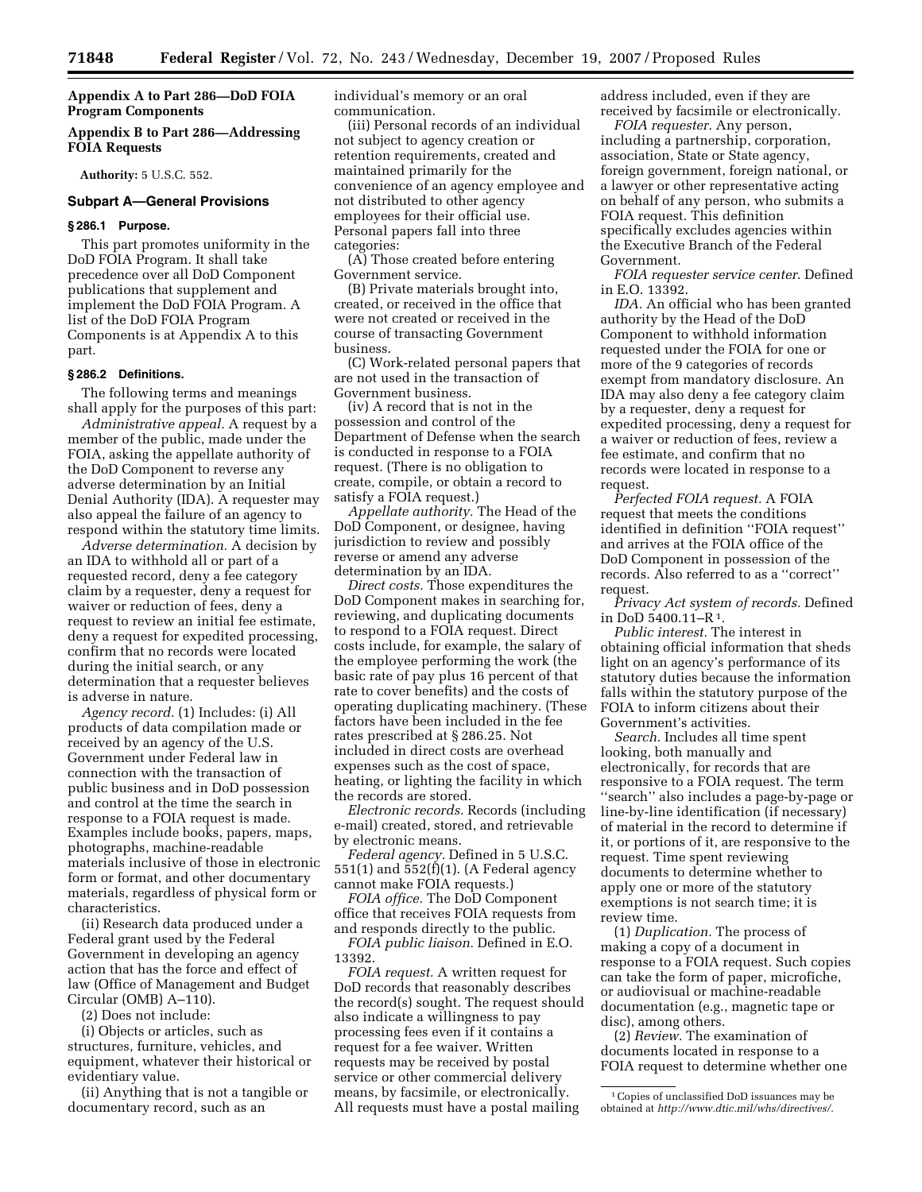# **Appendix A to Part 286—DoD FOIA Program Components**

# **Appendix B to Part 286—Addressing FOIA Requests**

**Authority:** 5 U.S.C. 552.

# **Subpart A—General Provisions**

#### **§ 286.1 Purpose.**

This part promotes uniformity in the DoD FOIA Program. It shall take precedence over all DoD Component publications that supplement and implement the DoD FOIA Program. A list of the DoD FOIA Program Components is at Appendix A to this part.

### **§ 286.2 Definitions.**

The following terms and meanings shall apply for the purposes of this part:

*Administrative appeal.* A request by a member of the public, made under the FOIA, asking the appellate authority of the DoD Component to reverse any adverse determination by an Initial Denial Authority (IDA). A requester may also appeal the failure of an agency to respond within the statutory time limits.

*Adverse determination.* A decision by an IDA to withhold all or part of a requested record, deny a fee category claim by a requester, deny a request for waiver or reduction of fees, deny a request to review an initial fee estimate, deny a request for expedited processing, confirm that no records were located during the initial search, or any determination that a requester believes is adverse in nature.

*Agency record.* (1) Includes: (i) All products of data compilation made or received by an agency of the U.S. Government under Federal law in connection with the transaction of public business and in DoD possession and control at the time the search in response to a FOIA request is made. Examples include books, papers, maps, photographs, machine-readable materials inclusive of those in electronic form or format, and other documentary materials, regardless of physical form or characteristics.

(ii) Research data produced under a Federal grant used by the Federal Government in developing an agency action that has the force and effect of law (Office of Management and Budget Circular (OMB) A–110).

(2) Does not include:

(i) Objects or articles, such as structures, furniture, vehicles, and equipment, whatever their historical or evidentiary value.

(ii) Anything that is not a tangible or documentary record, such as an

individual's memory or an oral communication.

(iii) Personal records of an individual not subject to agency creation or retention requirements, created and maintained primarily for the convenience of an agency employee and not distributed to other agency employees for their official use. Personal papers fall into three categories:

(A) Those created before entering Government service.

(B) Private materials brought into, created, or received in the office that were not created or received in the course of transacting Government business.

(C) Work-related personal papers that are not used in the transaction of Government business.

(iv) A record that is not in the possession and control of the Department of Defense when the search is conducted in response to a FOIA request. (There is no obligation to create, compile, or obtain a record to satisfy a FOIA request.)

*Appellate authority.* The Head of the DoD Component, or designee, having jurisdiction to review and possibly reverse or amend any adverse determination by an IDA.

*Direct costs.* Those expenditures the DoD Component makes in searching for, reviewing, and duplicating documents to respond to a FOIA request. Direct costs include, for example, the salary of the employee performing the work (the basic rate of pay plus 16 percent of that rate to cover benefits) and the costs of operating duplicating machinery. (These factors have been included in the fee rates prescribed at § 286.25. Not included in direct costs are overhead expenses such as the cost of space, heating, or lighting the facility in which the records are stored.

*Electronic records.* Records (including e-mail) created, stored, and retrievable by electronic means.

*Federal agency.* Defined in 5 U.S.C. 551(1) and 552(f)(1). (A Federal agency cannot make FOIA requests.)

*FOIA office.* The DoD Component office that receives FOIA requests from and responds directly to the public.

*FOIA public liaison.* Defined in E.O. 13392.

*FOIA request.* A written request for DoD records that reasonably describes the record(s) sought. The request should also indicate a willingness to pay processing fees even if it contains a request for a fee waiver. Written requests may be received by postal service or other commercial delivery means, by facsimile, or electronically. All requests must have a postal mailing

address included, even if they are received by facsimile or electronically.

*FOIA requester.* Any person, including a partnership, corporation, association, State or State agency, foreign government, foreign national, or a lawyer or other representative acting on behalf of any person, who submits a FOIA request. This definition specifically excludes agencies within the Executive Branch of the Federal Government.

*FOIA requester service center*. Defined in E.O. 13392.

*IDA.* An official who has been granted authority by the Head of the DoD Component to withhold information requested under the FOIA for one or more of the 9 categories of records exempt from mandatory disclosure. An IDA may also deny a fee category claim by a requester, deny a request for expedited processing, deny a request for a waiver or reduction of fees, review a fee estimate, and confirm that no records were located in response to a request.

*Perfected FOIA request.* A FOIA request that meets the conditions identified in definition ''FOIA request'' and arrives at the FOIA office of the DoD Component in possession of the records. Also referred to as a ''correct'' request.

*Privacy Act system of records.* Defined in DoD 5400.11–R1.

*Public interest.* The interest in obtaining official information that sheds light on an agency's performance of its statutory duties because the information falls within the statutory purpose of the FOIA to inform citizens about their Government's activities.

*Search.* Includes all time spent looking, both manually and electronically, for records that are responsive to a FOIA request. The term ''search'' also includes a page-by-page or line-by-line identification (if necessary) of material in the record to determine if it, or portions of it, are responsive to the request. Time spent reviewing documents to determine whether to apply one or more of the statutory exemptions is not search time; it is review time.

(1) *Duplication.* The process of making a copy of a document in response to a FOIA request. Such copies can take the form of paper, microfiche, or audiovisual or machine-readable documentation (e.g., magnetic tape or disc), among others.

(2) *Review.* The examination of documents located in response to a FOIA request to determine whether one

<sup>1</sup>Copies of unclassified DoD issuances may be obtained at *[http://www.dtic.mil/whs/directives/](http://www.dtic.mil/whs/directives)*.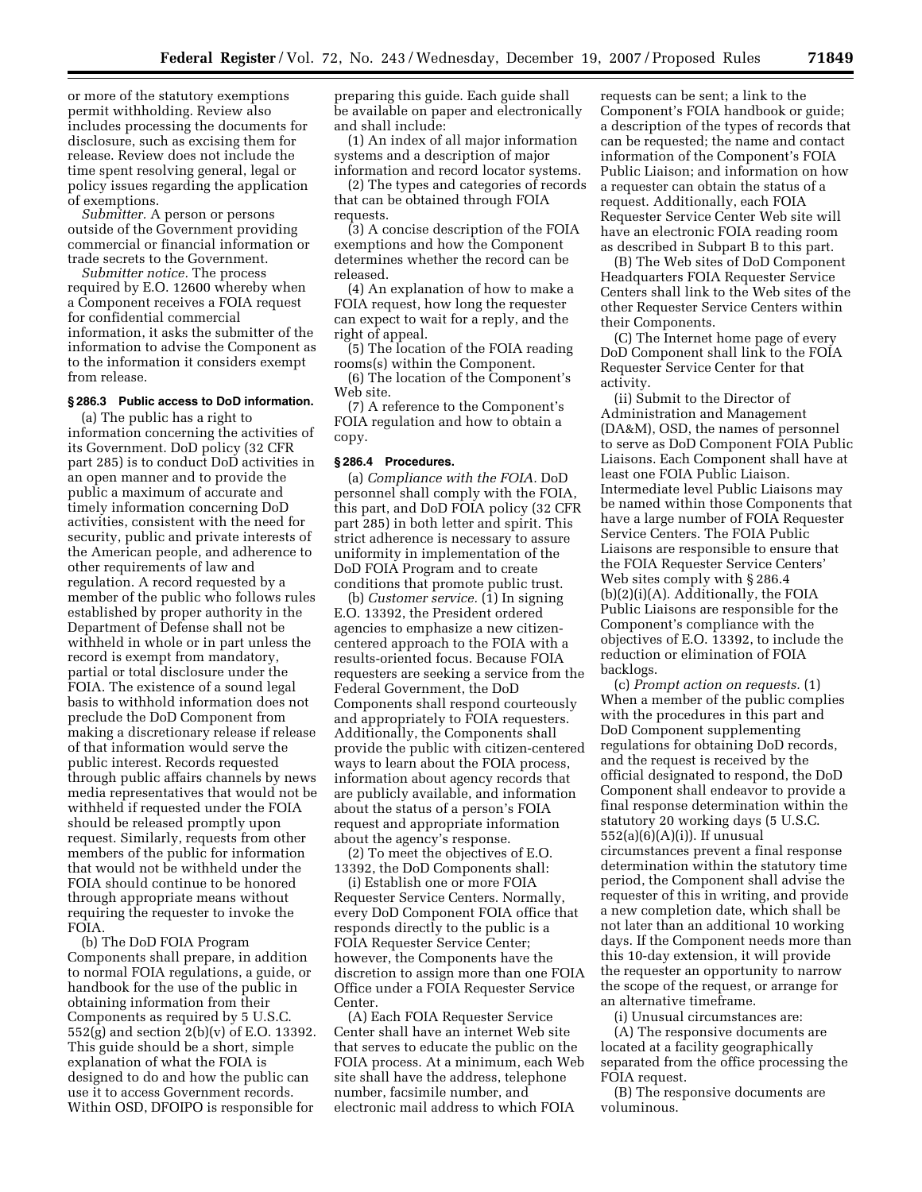or more of the statutory exemptions permit withholding. Review also includes processing the documents for disclosure, such as excising them for release. Review does not include the time spent resolving general, legal or policy issues regarding the application of exemptions.

*Submitter.* A person or persons outside of the Government providing commercial or financial information or trade secrets to the Government.

*Submitter notice.* The process required by E.O. 12600 whereby when a Component receives a FOIA request for confidential commercial information, it asks the submitter of the information to advise the Component as to the information it considers exempt from release.

### **§ 286.3 Public access to DoD information.**

(a) The public has a right to information concerning the activities of its Government. DoD policy (32 CFR part 285) is to conduct DoD activities in an open manner and to provide the public a maximum of accurate and timely information concerning DoD activities, consistent with the need for security, public and private interests of the American people, and adherence to other requirements of law and regulation. A record requested by a member of the public who follows rules established by proper authority in the Department of Defense shall not be withheld in whole or in part unless the record is exempt from mandatory, partial or total disclosure under the FOIA. The existence of a sound legal basis to withhold information does not preclude the DoD Component from making a discretionary release if release of that information would serve the public interest. Records requested through public affairs channels by news media representatives that would not be withheld if requested under the FOIA should be released promptly upon request. Similarly, requests from other members of the public for information that would not be withheld under the FOIA should continue to be honored through appropriate means without requiring the requester to invoke the FOIA.

(b) The DoD FOIA Program Components shall prepare, in addition to normal FOIA regulations, a guide, or handbook for the use of the public in obtaining information from their Components as required by 5 U.S.C. 552(g) and section 2(b)(v) of E.O. 13392. This guide should be a short, simple explanation of what the FOIA is designed to do and how the public can use it to access Government records. Within OSD, DFOIPO is responsible for

preparing this guide. Each guide shall be available on paper and electronically and shall include:

(1) An index of all major information systems and a description of major information and record locator systems.

(2) The types and categories of records that can be obtained through FOIA requests.

(3) A concise description of the FOIA exemptions and how the Component determines whether the record can be released.

(4) An explanation of how to make a FOIA request, how long the requester can expect to wait for a reply, and the right of appeal.

(5) The location of the FOIA reading rooms(s) within the Component.

(6) The location of the Component's Web site.

(7) A reference to the Component's FOIA regulation and how to obtain a copy.

### **§ 286.4 Procedures.**

(a) *Compliance with the FOIA.* DoD personnel shall comply with the FOIA, this part, and DoD FOIA policy (32 CFR part 285) in both letter and spirit. This strict adherence is necessary to assure uniformity in implementation of the DoD FOIA Program and to create conditions that promote public trust.

(b) *Customer service.* (1) In signing E.O. 13392, the President ordered agencies to emphasize a new citizencentered approach to the FOIA with a results-oriented focus. Because FOIA requesters are seeking a service from the Federal Government, the DoD Components shall respond courteously and appropriately to FOIA requesters. Additionally, the Components shall provide the public with citizen-centered ways to learn about the FOIA process, information about agency records that are publicly available, and information about the status of a person's FOIA request and appropriate information about the agency's response.

(2) To meet the objectives of E.O. 13392, the DoD Components shall:

(i) Establish one or more FOIA Requester Service Centers. Normally, every DoD Component FOIA office that responds directly to the public is a FOIA Requester Service Center; however, the Components have the discretion to assign more than one FOIA Office under a FOIA Requester Service Center.

(A) Each FOIA Requester Service Center shall have an internet Web site that serves to educate the public on the FOIA process. At a minimum, each Web site shall have the address, telephone number, facsimile number, and electronic mail address to which FOIA

requests can be sent; a link to the Component's FOIA handbook or guide; a description of the types of records that can be requested; the name and contact information of the Component's FOIA Public Liaison; and information on how a requester can obtain the status of a request. Additionally, each FOIA Requester Service Center Web site will have an electronic FOIA reading room as described in Subpart B to this part.

(B) The Web sites of DoD Component Headquarters FOIA Requester Service Centers shall link to the Web sites of the other Requester Service Centers within their Components.

(C) The Internet home page of every DoD Component shall link to the FOIA Requester Service Center for that activity.

(ii) Submit to the Director of Administration and Management (DA&M), OSD, the names of personnel to serve as DoD Component FOIA Public Liaisons. Each Component shall have at least one FOIA Public Liaison. Intermediate level Public Liaisons may be named within those Components that have a large number of FOIA Requester Service Centers. The FOIA Public Liaisons are responsible to ensure that the FOIA Requester Service Centers' Web sites comply with § 286.4 (b)(2)(i)(A). Additionally, the FOIA Public Liaisons are responsible for the Component's compliance with the objectives of E.O. 13392, to include the reduction or elimination of FOIA backlogs.

(c) *Prompt action on requests.* (1) When a member of the public complies with the procedures in this part and DoD Component supplementing regulations for obtaining DoD records, and the request is received by the official designated to respond, the DoD Component shall endeavor to provide a final response determination within the statutory 20 working days (5 U.S.C. 552(a)(6)(A)(i)). If unusual circumstances prevent a final response determination within the statutory time period, the Component shall advise the requester of this in writing, and provide a new completion date, which shall be not later than an additional 10 working days. If the Component needs more than this 10-day extension, it will provide the requester an opportunity to narrow the scope of the request, or arrange for an alternative timeframe.

(i) Unusual circumstances are:

(A) The responsive documents are located at a facility geographically separated from the office processing the FOIA request.

(B) The responsive documents are voluminous.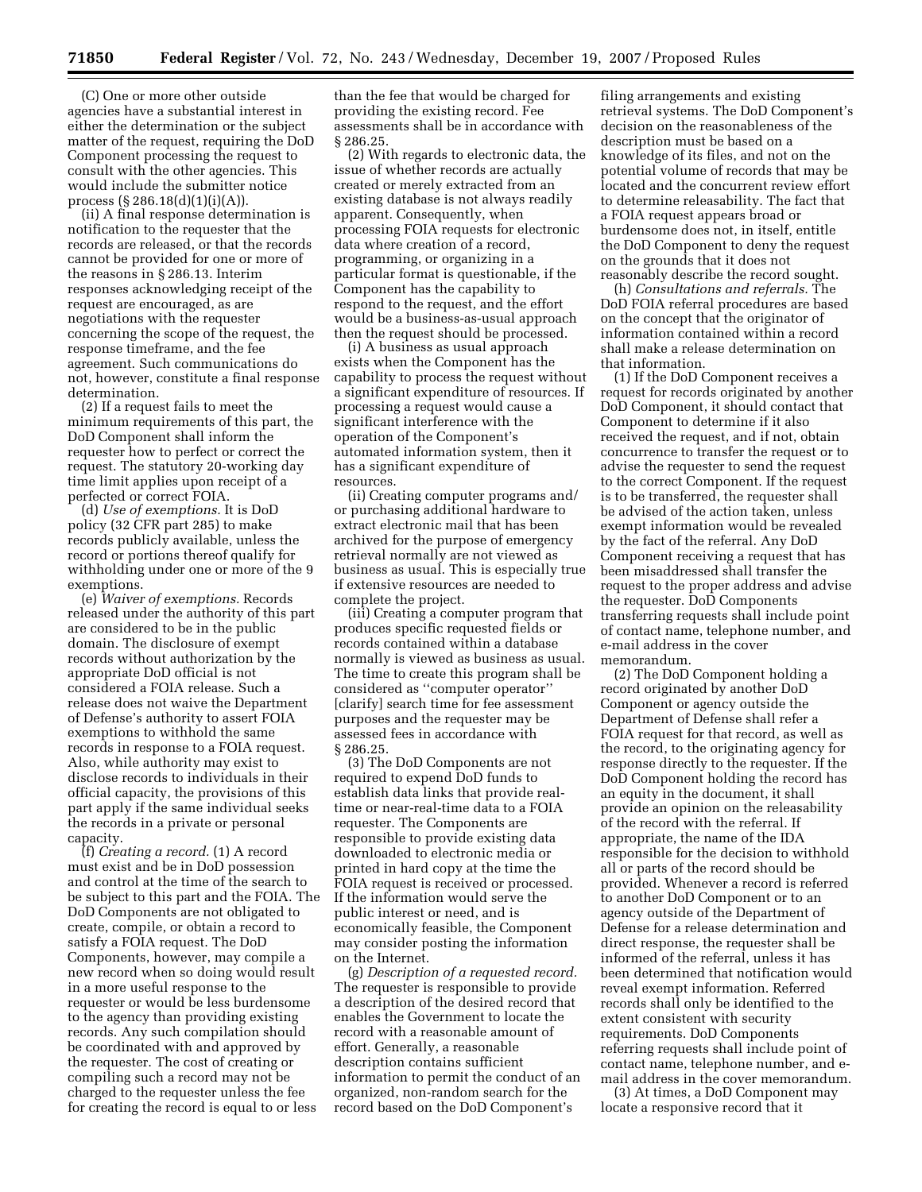(C) One or more other outside agencies have a substantial interest in either the determination or the subject matter of the request, requiring the DoD Component processing the request to consult with the other agencies. This would include the submitter notice process (§ 286.18(d)(1)(i)(A)).

(ii) A final response determination is notification to the requester that the records are released, or that the records cannot be provided for one or more of the reasons in § 286.13. Interim responses acknowledging receipt of the request are encouraged, as are negotiations with the requester concerning the scope of the request, the response timeframe, and the fee agreement. Such communications do not, however, constitute a final response determination.

(2) If a request fails to meet the minimum requirements of this part, the DoD Component shall inform the requester how to perfect or correct the request. The statutory 20-working day time limit applies upon receipt of a perfected or correct FOIA.

(d) *Use of exemptions.* It is DoD policy (32 CFR part 285) to make records publicly available, unless the record or portions thereof qualify for withholding under one or more of the 9 exemptions.

(e) *Waiver of exemptions.* Records released under the authority of this part are considered to be in the public domain. The disclosure of exempt records without authorization by the appropriate DoD official is not considered a FOIA release. Such a release does not waive the Department of Defense's authority to assert FOIA exemptions to withhold the same records in response to a FOIA request. Also, while authority may exist to disclose records to individuals in their official capacity, the provisions of this part apply if the same individual seeks the records in a private or personal capacity.

(f) *Creating a record.* (1) A record must exist and be in DoD possession and control at the time of the search to be subject to this part and the FOIA. The DoD Components are not obligated to create, compile, or obtain a record to satisfy a FOIA request. The DoD Components, however, may compile a new record when so doing would result in a more useful response to the requester or would be less burdensome to the agency than providing existing records. Any such compilation should be coordinated with and approved by the requester. The cost of creating or compiling such a record may not be charged to the requester unless the fee for creating the record is equal to or less

than the fee that would be charged for providing the existing record. Fee assessments shall be in accordance with § 286.25.

(2) With regards to electronic data, the issue of whether records are actually created or merely extracted from an existing database is not always readily apparent. Consequently, when processing FOIA requests for electronic data where creation of a record, programming, or organizing in a particular format is questionable, if the Component has the capability to respond to the request, and the effort would be a business-as-usual approach then the request should be processed.

(i) A business as usual approach exists when the Component has the capability to process the request without a significant expenditure of resources. If processing a request would cause a significant interference with the operation of the Component's automated information system, then it has a significant expenditure of resources.

(ii) Creating computer programs and/ or purchasing additional hardware to extract electronic mail that has been archived for the purpose of emergency retrieval normally are not viewed as business as usual. This is especially true if extensive resources are needed to complete the project.

(iii) Creating a computer program that produces specific requested fields or records contained within a database normally is viewed as business as usual. The time to create this program shall be considered as ''computer operator'' [clarify] search time for fee assessment purposes and the requester may be assessed fees in accordance with § 286.25.

(3) The DoD Components are not required to expend DoD funds to establish data links that provide realtime or near-real-time data to a FOIA requester. The Components are responsible to provide existing data downloaded to electronic media or printed in hard copy at the time the FOIA request is received or processed. If the information would serve the public interest or need, and is economically feasible, the Component may consider posting the information on the Internet.

(g) *Description of a requested record.*  The requester is responsible to provide a description of the desired record that enables the Government to locate the record with a reasonable amount of effort. Generally, a reasonable description contains sufficient information to permit the conduct of an organized, non-random search for the record based on the DoD Component's

filing arrangements and existing retrieval systems. The DoD Component's decision on the reasonableness of the description must be based on a knowledge of its files, and not on the potential volume of records that may be located and the concurrent review effort to determine releasability. The fact that a FOIA request appears broad or burdensome does not, in itself, entitle the DoD Component to deny the request on the grounds that it does not reasonably describe the record sought.

(h) *Consultations and referrals.* The DoD FOIA referral procedures are based on the concept that the originator of information contained within a record shall make a release determination on that information.

(1) If the DoD Component receives a request for records originated by another DoD Component, it should contact that Component to determine if it also received the request, and if not, obtain concurrence to transfer the request or to advise the requester to send the request to the correct Component. If the request is to be transferred, the requester shall be advised of the action taken, unless exempt information would be revealed by the fact of the referral. Any DoD Component receiving a request that has been misaddressed shall transfer the request to the proper address and advise the requester. DoD Components transferring requests shall include point of contact name, telephone number, and e-mail address in the cover memorandum.

(2) The DoD Component holding a record originated by another DoD Component or agency outside the Department of Defense shall refer a FOIA request for that record, as well as the record, to the originating agency for response directly to the requester. If the DoD Component holding the record has an equity in the document, it shall provide an opinion on the releasability of the record with the referral. If appropriate, the name of the IDA responsible for the decision to withhold all or parts of the record should be provided. Whenever a record is referred to another DoD Component or to an agency outside of the Department of Defense for a release determination and direct response, the requester shall be informed of the referral, unless it has been determined that notification would reveal exempt information. Referred records shall only be identified to the extent consistent with security requirements. DoD Components referring requests shall include point of contact name, telephone number, and email address in the cover memorandum.

(3) At times, a DoD Component may locate a responsive record that it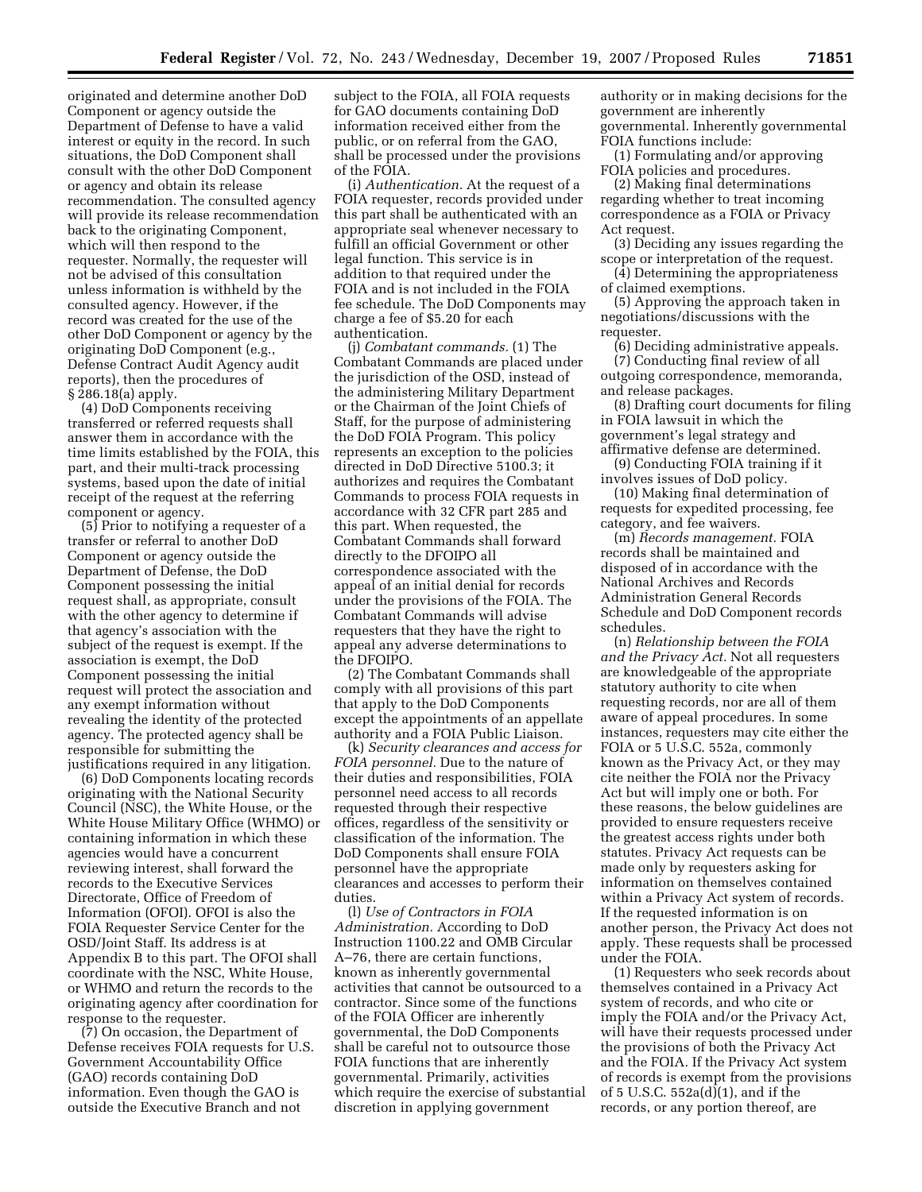originated and determine another DoD Component or agency outside the Department of Defense to have a valid interest or equity in the record. In such situations, the DoD Component shall consult with the other DoD Component or agency and obtain its release recommendation. The consulted agency will provide its release recommendation back to the originating Component, which will then respond to the requester. Normally, the requester will not be advised of this consultation unless information is withheld by the consulted agency. However, if the record was created for the use of the other DoD Component or agency by the originating DoD Component (e.g., Defense Contract Audit Agency audit reports), then the procedures of § 286.18(a) apply.

(4) DoD Components receiving transferred or referred requests shall answer them in accordance with the time limits established by the FOIA, this part, and their multi-track processing systems, based upon the date of initial receipt of the request at the referring component or agency.

(5) Prior to notifying a requester of a transfer or referral to another DoD Component or agency outside the Department of Defense, the DoD Component possessing the initial request shall, as appropriate, consult with the other agency to determine if that agency's association with the subject of the request is exempt. If the association is exempt, the DoD Component possessing the initial request will protect the association and any exempt information without revealing the identity of the protected agency. The protected agency shall be responsible for submitting the justifications required in any litigation.

(6) DoD Components locating records originating with the National Security Council (NSC), the White House, or the White House Military Office (WHMO) or containing information in which these agencies would have a concurrent reviewing interest, shall forward the records to the Executive Services Directorate, Office of Freedom of Information (OFOI). OFOI is also the FOIA Requester Service Center for the OSD/Joint Staff. Its address is at Appendix B to this part. The OFOI shall coordinate with the NSC, White House, or WHMO and return the records to the originating agency after coordination for response to the requester.

(7) On occasion, the Department of Defense receives FOIA requests for U.S. Government Accountability Office (GAO) records containing DoD information. Even though the GAO is outside the Executive Branch and not

subject to the FOIA, all FOIA requests for GAO documents containing DoD information received either from the public, or on referral from the GAO, shall be processed under the provisions of the FOIA.

(i) *Authentication.* At the request of a FOIA requester, records provided under this part shall be authenticated with an appropriate seal whenever necessary to fulfill an official Government or other legal function. This service is in addition to that required under the FOIA and is not included in the FOIA fee schedule. The DoD Components may charge a fee of \$5.20 for each authentication.

(j) *Combatant commands.* (1) The Combatant Commands are placed under the jurisdiction of the OSD, instead of the administering Military Department or the Chairman of the Joint Chiefs of Staff, for the purpose of administering the DoD FOIA Program. This policy represents an exception to the policies directed in DoD Directive 5100.3; it authorizes and requires the Combatant Commands to process FOIA requests in accordance with 32 CFR part 285 and this part. When requested, the Combatant Commands shall forward directly to the DFOIPO all correspondence associated with the appeal of an initial denial for records under the provisions of the FOIA. The Combatant Commands will advise requesters that they have the right to appeal any adverse determinations to the DFOIPO.

(2) The Combatant Commands shall comply with all provisions of this part that apply to the DoD Components except the appointments of an appellate authority and a FOIA Public Liaison.

(k) *Security clearances and access for FOIA personnel.* Due to the nature of their duties and responsibilities, FOIA personnel need access to all records requested through their respective offices, regardless of the sensitivity or classification of the information. The DoD Components shall ensure FOIA personnel have the appropriate clearances and accesses to perform their duties.

(l) *Use of Contractors in FOIA Administration.* According to DoD Instruction 1100.22 and OMB Circular A–76, there are certain functions, known as inherently governmental activities that cannot be outsourced to a contractor. Since some of the functions of the FOIA Officer are inherently governmental, the DoD Components shall be careful not to outsource those FOIA functions that are inherently governmental. Primarily, activities which require the exercise of substantial discretion in applying government

authority or in making decisions for the government are inherently governmental. Inherently governmental FOIA functions include:

(1) Formulating and/or approving FOIA policies and procedures.

(2) Making final determinations regarding whether to treat incoming correspondence as a FOIA or Privacy Act request.

(3) Deciding any issues regarding the scope or interpretation of the request.

(4) Determining the appropriateness of claimed exemptions.

(5) Approving the approach taken in negotiations/discussions with the requester.

(6) Deciding administrative appeals.

(7) Conducting final review of all outgoing correspondence, memoranda, and release packages.

(8) Drafting court documents for filing in FOIA lawsuit in which the government's legal strategy and affirmative defense are determined.

(9) Conducting FOIA training if it involves issues of DoD policy.

(10) Making final determination of requests for expedited processing, fee category, and fee waivers.

(m) *Records management.* FOIA records shall be maintained and disposed of in accordance with the National Archives and Records Administration General Records Schedule and DoD Component records schedules.

(n) *Relationship between the FOIA and the Privacy Act.* Not all requesters are knowledgeable of the appropriate statutory authority to cite when requesting records, nor are all of them aware of appeal procedures. In some instances, requesters may cite either the FOIA or 5 U.S.C. 552a, commonly known as the Privacy Act, or they may cite neither the FOIA nor the Privacy Act but will imply one or both. For these reasons, the below guidelines are provided to ensure requesters receive the greatest access rights under both statutes. Privacy Act requests can be made only by requesters asking for information on themselves contained within a Privacy Act system of records. If the requested information is on another person, the Privacy Act does not apply. These requests shall be processed under the FOIA.

(1) Requesters who seek records about themselves contained in a Privacy Act system of records, and who cite or imply the FOIA and/or the Privacy Act, will have their requests processed under the provisions of both the Privacy Act and the FOIA. If the Privacy Act system of records is exempt from the provisions of 5 U.S.C. 552a(d)(1), and if the records, or any portion thereof, are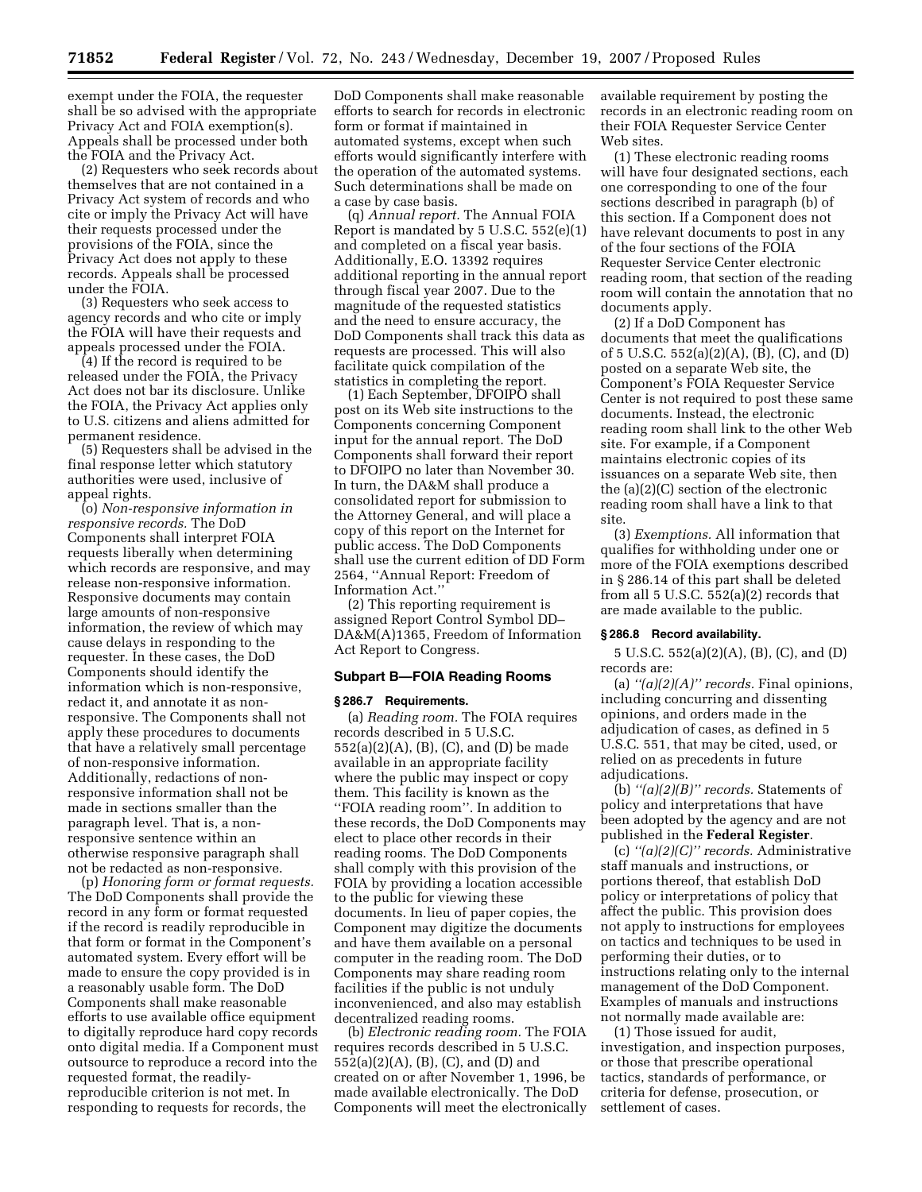exempt under the FOIA, the requester shall be so advised with the appropriate Privacy Act and FOIA exemption(s). Appeals shall be processed under both the FOIA and the Privacy Act.

(2) Requesters who seek records about themselves that are not contained in a Privacy Act system of records and who cite or imply the Privacy Act will have their requests processed under the provisions of the FOIA, since the Privacy Act does not apply to these records. Appeals shall be processed under the FOIA.

(3) Requesters who seek access to agency records and who cite or imply the FOIA will have their requests and appeals processed under the FOIA.

(4) If the record is required to be released under the FOIA, the Privacy Act does not bar its disclosure. Unlike the FOIA, the Privacy Act applies only to U.S. citizens and aliens admitted for permanent residence.

(5) Requesters shall be advised in the final response letter which statutory authorities were used, inclusive of appeal rights.

(o) *Non-responsive information in responsive records.* The DoD Components shall interpret FOIA requests liberally when determining which records are responsive, and may release non-responsive information. Responsive documents may contain large amounts of non-responsive information, the review of which may cause delays in responding to the requester. In these cases, the DoD Components should identify the information which is non-responsive, redact it, and annotate it as nonresponsive. The Components shall not apply these procedures to documents that have a relatively small percentage of non-responsive information. Additionally, redactions of nonresponsive information shall not be made in sections smaller than the paragraph level. That is, a nonresponsive sentence within an otherwise responsive paragraph shall not be redacted as non-responsive.

(p) *Honoring form or format requests.*  The DoD Components shall provide the record in any form or format requested if the record is readily reproducible in that form or format in the Component's automated system. Every effort will be made to ensure the copy provided is in a reasonably usable form. The DoD Components shall make reasonable efforts to use available office equipment to digitally reproduce hard copy records onto digital media. If a Component must outsource to reproduce a record into the requested format, the readilyreproducible criterion is not met. In responding to requests for records, the

DoD Components shall make reasonable efforts to search for records in electronic form or format if maintained in automated systems, except when such efforts would significantly interfere with the operation of the automated systems. Such determinations shall be made on a case by case basis.

(q) *Annual report.* The Annual FOIA Report is mandated by 5 U.S.C. 552(e)(1) and completed on a fiscal year basis. Additionally, E.O. 13392 requires additional reporting in the annual report through fiscal year 2007. Due to the magnitude of the requested statistics and the need to ensure accuracy, the DoD Components shall track this data as requests are processed. This will also facilitate quick compilation of the statistics in completing the report.

(1) Each September, DFOIPO shall post on its Web site instructions to the Components concerning Component input for the annual report. The DoD Components shall forward their report to DFOIPO no later than November 30. In turn, the DA&M shall produce a consolidated report for submission to the Attorney General, and will place a copy of this report on the Internet for public access. The DoD Components shall use the current edition of DD Form 2564, ''Annual Report: Freedom of Information Act.''

(2) This reporting requirement is assigned Report Control Symbol DD– DA&M(A)1365, Freedom of Information Act Report to Congress.

# **Subpart B—FOIA Reading Rooms**

#### **§ 286.7 Requirements.**

(a) *Reading room.* The FOIA requires records described in 5 U.S.C. 552(a)(2)(A), (B), (C), and (D) be made available in an appropriate facility where the public may inspect or copy them. This facility is known as the ''FOIA reading room''. In addition to these records, the DoD Components may elect to place other records in their reading rooms. The DoD Components shall comply with this provision of the FOIA by providing a location accessible to the public for viewing these documents. In lieu of paper copies, the Component may digitize the documents and have them available on a personal computer in the reading room. The DoD Components may share reading room facilities if the public is not unduly inconvenienced, and also may establish decentralized reading rooms.

(b) *Electronic reading room.* The FOIA requires records described in 5 U.S.C. 552(a)(2)(A), (B), (C), and (D) and created on or after November 1, 1996, be made available electronically. The DoD Components will meet the electronically available requirement by posting the records in an electronic reading room on their FOIA Requester Service Center Web sites.

(1) These electronic reading rooms will have four designated sections, each one corresponding to one of the four sections described in paragraph (b) of this section. If a Component does not have relevant documents to post in any of the four sections of the FOIA Requester Service Center electronic reading room, that section of the reading room will contain the annotation that no documents apply.

(2) If a DoD Component has documents that meet the qualifications of 5 U.S.C. 552(a)(2)(A), (B), (C), and (D) posted on a separate Web site, the Component's FOIA Requester Service Center is not required to post these same documents. Instead, the electronic reading room shall link to the other Web site. For example, if a Component maintains electronic copies of its issuances on a separate Web site, then the (a)(2)(C) section of the electronic reading room shall have a link to that site.

(3) *Exemptions.* All information that qualifies for withholding under one or more of the FOIA exemptions described in § 286.14 of this part shall be deleted from all 5 U.S.C. 552(a)(2) records that are made available to the public.

### **§ 286.8 Record availability.**

5 U.S.C. 552(a)(2)(A), (B), (C), and (D) records are:

(a) *''(a)(2)(A)'' records.* Final opinions, including concurring and dissenting opinions, and orders made in the adjudication of cases, as defined in 5 U.S.C. 551, that may be cited, used, or relied on as precedents in future adjudications.

(b) *''(a)(2)(B)'' records.* Statements of policy and interpretations that have been adopted by the agency and are not published in the **Federal Register**.

(c) *''(a)(2)(C)'' records.* Administrative staff manuals and instructions, or portions thereof, that establish DoD policy or interpretations of policy that affect the public. This provision does not apply to instructions for employees on tactics and techniques to be used in performing their duties, or to instructions relating only to the internal management of the DoD Component. Examples of manuals and instructions not normally made available are:

(1) Those issued for audit, investigation, and inspection purposes, or those that prescribe operational tactics, standards of performance, or criteria for defense, prosecution, or settlement of cases.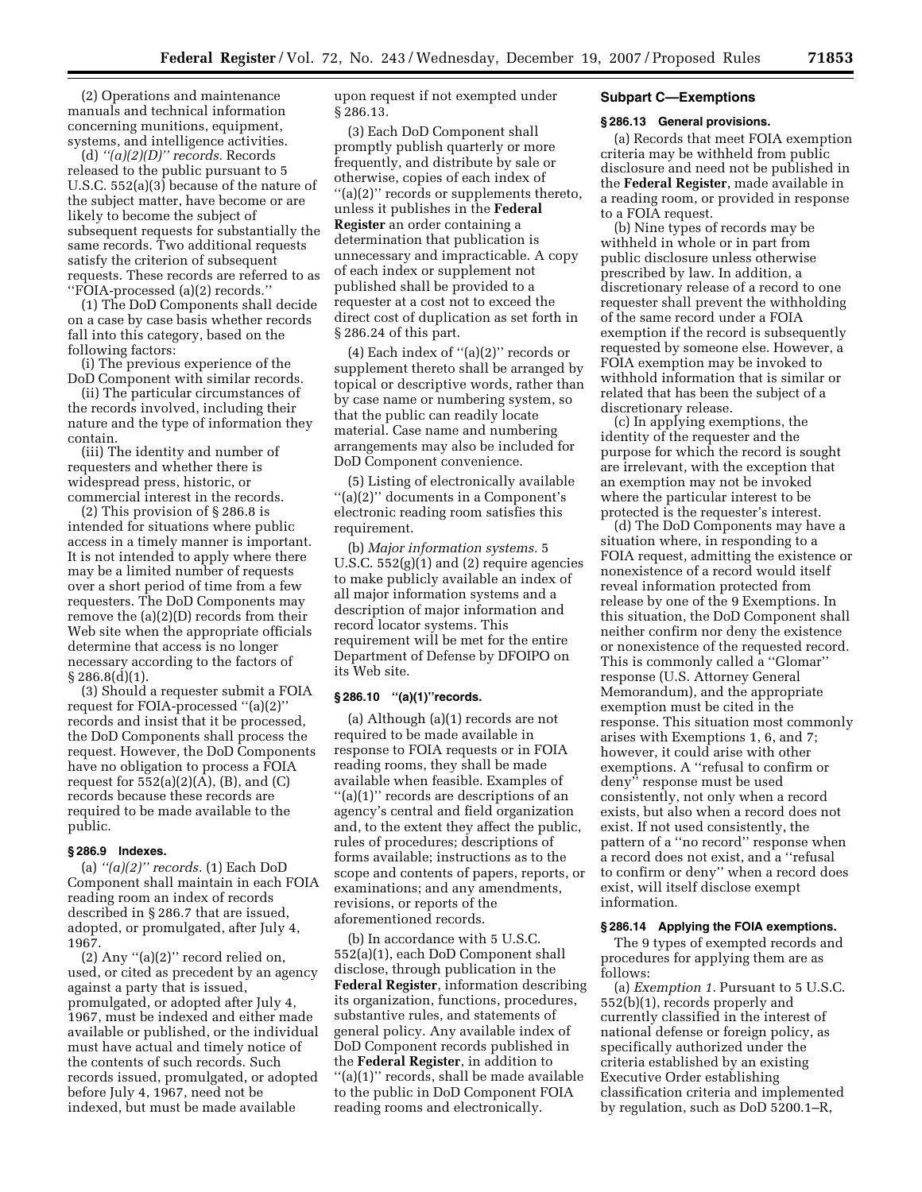(2) Operations and maintenance manuals and technical information concerning munitions, equipment, systems, and intelligence activities.

(d) *''(a)(2)(D)'' records.* Records released to the public pursuant to 5 U.S.C. 552(a)(3) because of the nature of the subject matter, have become or are likely to become the subject of subsequent requests for substantially the same records. Two additional requests satisfy the criterion of subsequent requests. These records are referred to as ''FOIA-processed (a)(2) records.''

(1) The DoD Components shall decide on a case by case basis whether records fall into this category, based on the following factors:

(i) The previous experience of the DoD Component with similar records.

(ii) The particular circumstances of the records involved, including their nature and the type of information they contain.

(iii) The identity and number of requesters and whether there is widespread press, historic, or commercial interest in the records.

(2) This provision of § 286.8 is intended for situations where public access in a timely manner is important. It is not intended to apply where there may be a limited number of requests over a short period of time from a few requesters. The DoD Components may remove the (a)(2)(D) records from their Web site when the appropriate officials determine that access is no longer necessary according to the factors of § 286.8(d)(1).

(3) Should a requester submit a FOIA request for FOIA-processed ''(a)(2)'' records and insist that it be processed, the DoD Components shall process the request. However, the DoD Components have no obligation to process a FOIA request for  $552(a)(2)(A)$ ,  $(B)$ , and  $(C)$ records because these records are required to be made available to the public.

### **§ 286.9 Indexes.**

(a) *''(a)(2)'' records.* (1) Each DoD Component shall maintain in each FOIA reading room an index of records described in § 286.7 that are issued, adopted, or promulgated, after July 4, 1967.

 $(2)$  Any " $(a)(2)$ " record relied on, used, or cited as precedent by an agency against a party that is issued, promulgated, or adopted after July 4, 1967, must be indexed and either made available or published, or the individual must have actual and timely notice of the contents of such records. Such records issued, promulgated, or adopted before July 4, 1967, need not be indexed, but must be made available

upon request if not exempted under § 286.13.

(3) Each DoD Component shall promptly publish quarterly or more frequently, and distribute by sale or otherwise, copies of each index of ''(a)(2)'' records or supplements thereto, unless it publishes in the **Federal Register** an order containing a determination that publication is unnecessary and impracticable. A copy of each index or supplement not published shall be provided to a requester at a cost not to exceed the direct cost of duplication as set forth in § 286.24 of this part.

(4) Each index of ''(a)(2)'' records or supplement thereto shall be arranged by topical or descriptive words, rather than by case name or numbering system, so that the public can readily locate material. Case name and numbering arrangements may also be included for DoD Component convenience.

(5) Listing of electronically available ''(a)(2)'' documents in a Component's electronic reading room satisfies this requirement.

(b) *Major information systems.* 5 U.S.C.  $552(g)(1)$  and  $(2)$  require agencies to make publicly available an index of all major information systems and a description of major information and record locator systems. This requirement will be met for the entire Department of Defense by DFOIPO on its Web site.

# **§ 286.10 ''(a)(1)''records.**

(a) Although (a)(1) records are not required to be made available in response to FOIA requests or in FOIA reading rooms, they shall be made available when feasible. Examples of ''(a)(1)'' records are descriptions of an agency's central and field organization and, to the extent they affect the public, rules of procedures; descriptions of forms available; instructions as to the scope and contents of papers, reports, or examinations; and any amendments, revisions, or reports of the aforementioned records.

(b) In accordance with 5 U.S.C. 552(a)(1), each DoD Component shall disclose, through publication in the **Federal Register**, information describing its organization, functions, procedures, substantive rules, and statements of general policy. Any available index of DoD Component records published in the **Federal Register**, in addition to ''(a)(1)'' records, shall be made available to the public in DoD Component FOIA reading rooms and electronically.

# **Subpart C—Exemptions**

### **§ 286.13 General provisions.**

(a) Records that meet FOIA exemption criteria may be withheld from public disclosure and need not be published in the **Federal Register**, made available in a reading room, or provided in response to a FOIA request.

(b) Nine types of records may be withheld in whole or in part from public disclosure unless otherwise prescribed by law. In addition, a discretionary release of a record to one requester shall prevent the withholding of the same record under a FOIA exemption if the record is subsequently requested by someone else. However, a FOIA exemption may be invoked to withhold information that is similar or related that has been the subject of a discretionary release.

(c) In applying exemptions, the identity of the requester and the purpose for which the record is sought are irrelevant, with the exception that an exemption may not be invoked where the particular interest to be protected is the requester's interest.

(d) The DoD Components may have a situation where, in responding to a FOIA request, admitting the existence or nonexistence of a record would itself reveal information protected from release by one of the 9 Exemptions. In this situation, the DoD Component shall neither confirm nor deny the existence or nonexistence of the requested record. This is commonly called a ''Glomar'' response (U.S. Attorney General Memorandum), and the appropriate exemption must be cited in the response. This situation most commonly arises with Exemptions 1, 6, and 7; however, it could arise with other exemptions. A ''refusal to confirm or deny'' response must be used consistently, not only when a record exists, but also when a record does not exist. If not used consistently, the pattern of a ''no record'' response when a record does not exist, and a ''refusal to confirm or deny'' when a record does exist, will itself disclose exempt information.

#### **§ 286.14 Applying the FOIA exemptions.**

The 9 types of exempted records and procedures for applying them are as follows:

(a) *Exemption 1.* Pursuant to 5 U.S.C. 552(b)(1), records properly and currently classified in the interest of national defense or foreign policy, as specifically authorized under the criteria established by an existing Executive Order establishing classification criteria and implemented by regulation, such as DoD 5200.1–R,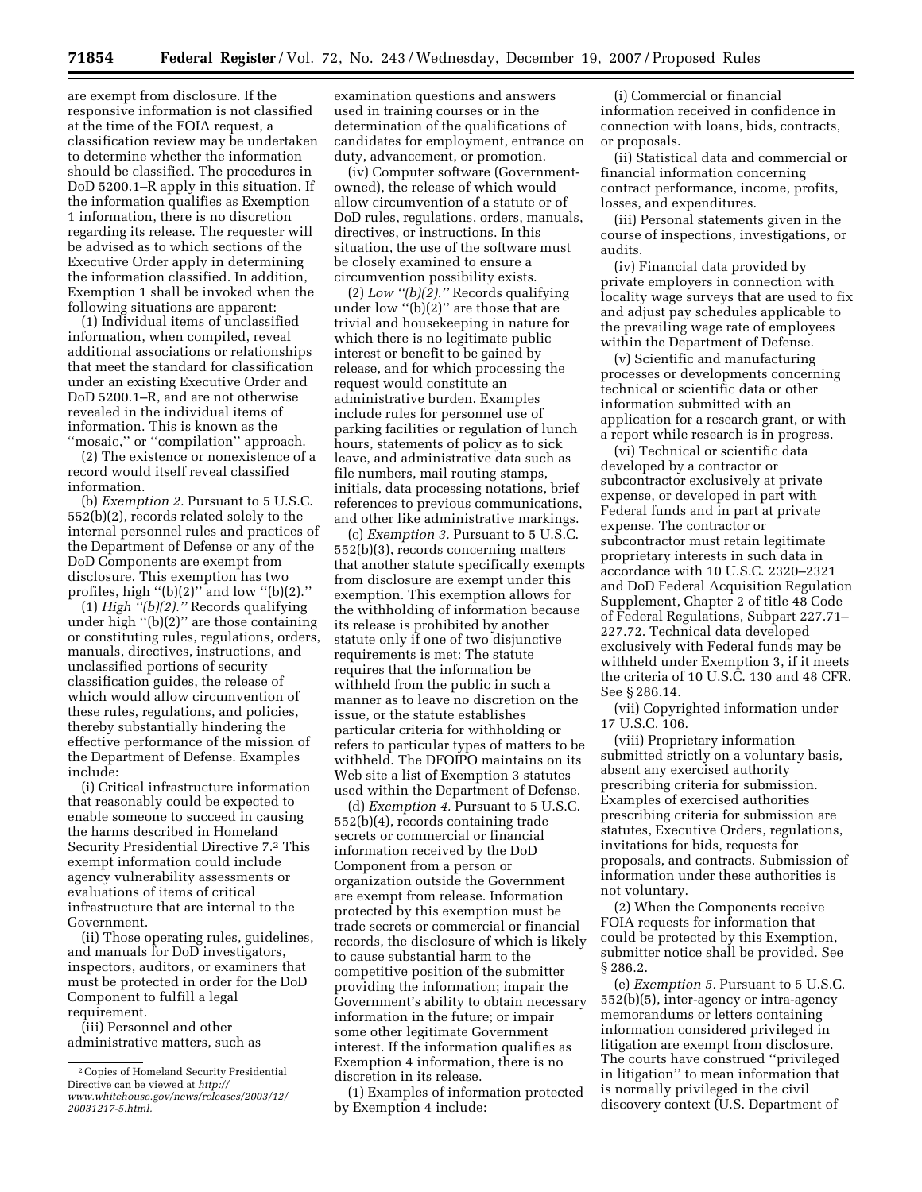are exempt from disclosure. If the responsive information is not classified at the time of the FOIA request, a classification review may be undertaken to determine whether the information should be classified. The procedures in DoD 5200.1–R apply in this situation. If the information qualifies as Exemption 1 information, there is no discretion regarding its release. The requester will be advised as to which sections of the Executive Order apply in determining the information classified. In addition, Exemption 1 shall be invoked when the following situations are apparent:

(1) Individual items of unclassified information, when compiled, reveal additional associations or relationships that meet the standard for classification under an existing Executive Order and DoD 5200.1–R, and are not otherwise revealed in the individual items of information. This is known as the "mosaic," or "compilation" approach.

(2) The existence or nonexistence of a record would itself reveal classified information.

(b) *Exemption 2.* Pursuant to 5 U.S.C. 552(b)(2), records related solely to the internal personnel rules and practices of the Department of Defense or any of the DoD Components are exempt from disclosure. This exemption has two profiles, high " $(b)(2)$ " and low " $(b)(2)$ ."

(1) *High ''(b)(2).''* Records qualifying under high ''(b)(2)'' are those containing or constituting rules, regulations, orders, manuals, directives, instructions, and unclassified portions of security classification guides, the release of which would allow circumvention of these rules, regulations, and policies, thereby substantially hindering the effective performance of the mission of the Department of Defense. Examples include:

(i) Critical infrastructure information that reasonably could be expected to enable someone to succeed in causing the harms described in Homeland Security Presidential Directive 7.2 This exempt information could include agency vulnerability assessments or evaluations of items of critical infrastructure that are internal to the Government.

(ii) Those operating rules, guidelines, and manuals for DoD investigators, inspectors, auditors, or examiners that must be protected in order for the DoD Component to fulfill a legal requirement.

(iii) Personnel and other administrative matters, such as

examination questions and answers used in training courses or in the determination of the qualifications of candidates for employment, entrance on duty, advancement, or promotion.

(iv) Computer software (Governmentowned), the release of which would allow circumvention of a statute or of DoD rules, regulations, orders, manuals, directives, or instructions. In this situation, the use of the software must be closely examined to ensure a circumvention possibility exists.

(2) *Low ''(b)(2).''* Records qualifying under low  $\cdot$ (b)(2)" are those that are trivial and housekeeping in nature for which there is no legitimate public interest or benefit to be gained by release, and for which processing the request would constitute an administrative burden. Examples include rules for personnel use of parking facilities or regulation of lunch hours, statements of policy as to sick leave, and administrative data such as file numbers, mail routing stamps, initials, data processing notations, brief references to previous communications, and other like administrative markings.

(c) *Exemption 3.* Pursuant to 5 U.S.C. 552(b)(3), records concerning matters that another statute specifically exempts from disclosure are exempt under this exemption. This exemption allows for the withholding of information because its release is prohibited by another statute only if one of two disjunctive requirements is met: The statute requires that the information be withheld from the public in such a manner as to leave no discretion on the issue, or the statute establishes particular criteria for withholding or refers to particular types of matters to be withheld. The DFOIPO maintains on its Web site a list of Exemption 3 statutes used within the Department of Defense.

(d) *Exemption 4.* Pursuant to 5 U.S.C. 552(b)(4), records containing trade secrets or commercial or financial information received by the DoD Component from a person or organization outside the Government are exempt from release. Information protected by this exemption must be trade secrets or commercial or financial records, the disclosure of which is likely to cause substantial harm to the competitive position of the submitter providing the information; impair the Government's ability to obtain necessary information in the future; or impair some other legitimate Government interest. If the information qualifies as Exemption 4 information, there is no discretion in its release.

(1) Examples of information protected by Exemption 4 include:

(i) Commercial or financial information received in confidence in connection with loans, bids, contracts, or proposals.

(ii) Statistical data and commercial or financial information concerning contract performance, income, profits, losses, and expenditures.

(iii) Personal statements given in the course of inspections, investigations, or audits.

(iv) Financial data provided by private employers in connection with locality wage surveys that are used to fix and adjust pay schedules applicable to the prevailing wage rate of employees within the Department of Defense.

(v) Scientific and manufacturing processes or developments concerning technical or scientific data or other information submitted with an application for a research grant, or with a report while research is in progress.

(vi) Technical or scientific data developed by a contractor or subcontractor exclusively at private expense, or developed in part with Federal funds and in part at private expense. The contractor or subcontractor must retain legitimate proprietary interests in such data in accordance with 10 U.S.C. 2320–2321 and DoD Federal Acquisition Regulation Supplement, Chapter 2 of title 48 Code of Federal Regulations, Subpart 227.71– 227.72. Technical data developed exclusively with Federal funds may be withheld under Exemption 3, if it meets the criteria of 10 U.S.C. 130 and 48 CFR. See § 286.14.

(vii) Copyrighted information under 17 U.S.C. 106.

(viii) Proprietary information submitted strictly on a voluntary basis, absent any exercised authority prescribing criteria for submission. Examples of exercised authorities prescribing criteria for submission are statutes, Executive Orders, regulations, invitations for bids, requests for proposals, and contracts. Submission of information under these authorities is not voluntary.

(2) When the Components receive FOIA requests for information that could be protected by this Exemption, submitter notice shall be provided. See § 286.2.

(e) *Exemption 5.* Pursuant to 5 U.S.C. 552(b)(5), inter-agency or intra-agency memorandums or letters containing information considered privileged in litigation are exempt from disclosure. The courts have construed ''privileged in litigation'' to mean information that is normally privileged in the civil discovery context (U.S. Department of

<sup>2</sup>Copies of Homeland Security Presidential Directive can be viewed at *http:// [www.whitehouse.gov/news/releases/2003/12/](http://www.whitehouse.gov/news/releases/2003/12/20031217-5.html)  20031217-5.html.*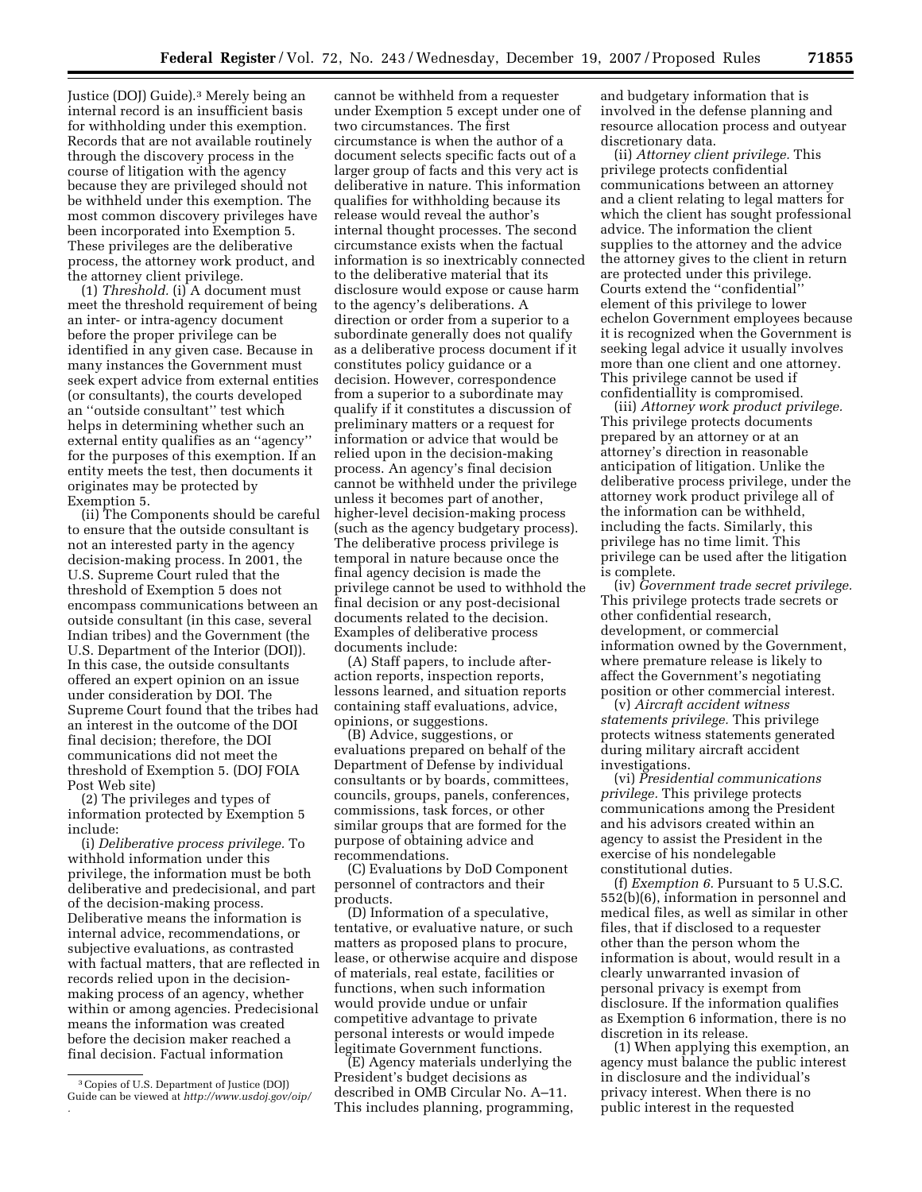Justice (DOJ) Guide).3 Merely being an internal record is an insufficient basis for withholding under this exemption. Records that are not available routinely through the discovery process in the course of litigation with the agency because they are privileged should not be withheld under this exemption. The most common discovery privileges have been incorporated into Exemption 5. These privileges are the deliberative process, the attorney work product, and the attorney client privilege.

(1) *Threshold.* (i) A document must meet the threshold requirement of being an inter- or intra-agency document before the proper privilege can be identified in any given case. Because in many instances the Government must seek expert advice from external entities (or consultants), the courts developed an ''outside consultant'' test which helps in determining whether such an external entity qualifies as an ''agency'' for the purposes of this exemption. If an entity meets the test, then documents it originates may be protected by Exemption 5.

(ii) The Components should be careful to ensure that the outside consultant is not an interested party in the agency decision-making process. In 2001, the U.S. Supreme Court ruled that the threshold of Exemption 5 does not encompass communications between an outside consultant (in this case, several Indian tribes) and the Government (the U.S. Department of the Interior (DOI)). In this case, the outside consultants offered an expert opinion on an issue under consideration by DOI. The Supreme Court found that the tribes had an interest in the outcome of the DOI final decision; therefore, the DOI communications did not meet the threshold of Exemption 5. (DOJ FOIA Post Web site)

(2) The privileges and types of information protected by Exemption 5 include:

(i) *Deliberative process privilege.* To withhold information under this privilege, the information must be both deliberative and predecisional, and part of the decision-making process. Deliberative means the information is internal advice, recommendations, or subjective evaluations, as contrasted with factual matters, that are reflected in records relied upon in the decisionmaking process of an agency, whether within or among agencies. Predecisional means the information was created before the decision maker reached a final decision. Factual information

cannot be withheld from a requester under Exemption 5 except under one of two circumstances. The first circumstance is when the author of a document selects specific facts out of a larger group of facts and this very act is deliberative in nature. This information qualifies for withholding because its release would reveal the author's internal thought processes. The second circumstance exists when the factual information is so inextricably connected to the deliberative material that its disclosure would expose or cause harm to the agency's deliberations. A direction or order from a superior to a subordinate generally does not qualify as a deliberative process document if it constitutes policy guidance or a decision. However, correspondence from a superior to a subordinate may qualify if it constitutes a discussion of preliminary matters or a request for information or advice that would be relied upon in the decision-making process. An agency's final decision cannot be withheld under the privilege unless it becomes part of another, higher-level decision-making process (such as the agency budgetary process). The deliberative process privilege is temporal in nature because once the final agency decision is made the privilege cannot be used to withhold the final decision or any post-decisional documents related to the decision. Examples of deliberative process documents include:

(A) Staff papers, to include afteraction reports, inspection reports, lessons learned, and situation reports containing staff evaluations, advice, opinions, or suggestions.

(B) Advice, suggestions, or evaluations prepared on behalf of the Department of Defense by individual consultants or by boards, committees, councils, groups, panels, conferences, commissions, task forces, or other similar groups that are formed for the purpose of obtaining advice and recommendations.

(C) Evaluations by DoD Component personnel of contractors and their products.

(D) Information of a speculative, tentative, or evaluative nature, or such matters as proposed plans to procure, lease, or otherwise acquire and dispose of materials, real estate, facilities or functions, when such information would provide undue or unfair competitive advantage to private personal interests or would impede legitimate Government functions.

(E) Agency materials underlying the President's budget decisions as described in OMB Circular No. A–11. This includes planning, programming, and budgetary information that is involved in the defense planning and resource allocation process and outyear discretionary data.

(ii) *Attorney client privilege.* This privilege protects confidential communications between an attorney and a client relating to legal matters for which the client has sought professional advice. The information the client supplies to the attorney and the advice the attorney gives to the client in return are protected under this privilege. Courts extend the ''confidential'' element of this privilege to lower echelon Government employees because it is recognized when the Government is seeking legal advice it usually involves more than one client and one attorney. This privilege cannot be used if confidentiallity is compromised.

(iii) *Attorney work product privilege.*  This privilege protects documents prepared by an attorney or at an attorney's direction in reasonable anticipation of litigation. Unlike the deliberative process privilege, under the attorney work product privilege all of the information can be withheld, including the facts. Similarly, this privilege has no time limit. This privilege can be used after the litigation is complete.

(iv) *Government trade secret privilege.*  This privilege protects trade secrets or other confidential research, development, or commercial information owned by the Government, where premature release is likely to affect the Government's negotiating position or other commercial interest.

(v) *Aircraft accident witness statements privilege.* This privilege protects witness statements generated during military aircraft accident investigations.

(vi) *Presidential communications privilege.* This privilege protects communications among the President and his advisors created within an agency to assist the President in the exercise of his nondelegable constitutional duties.

(f) *Exemption 6.* Pursuant to 5 U.S.C. 552(b)(6), information in personnel and medical files, as well as similar in other files, that if disclosed to a requester other than the person whom the information is about, would result in a clearly unwarranted invasion of personal privacy is exempt from disclosure. If the information qualifies as Exemption 6 information, there is no discretion in its release.

(1) When applying this exemption, an agency must balance the public interest in disclosure and the individual's privacy interest. When there is no public interest in the requested

<sup>3</sup>Copies of U.S. Department of Justice (DOJ) Guide can be viewed at *[http://www.usdoj.gov/oip/](http://www.usdoj.gov/oip)  .*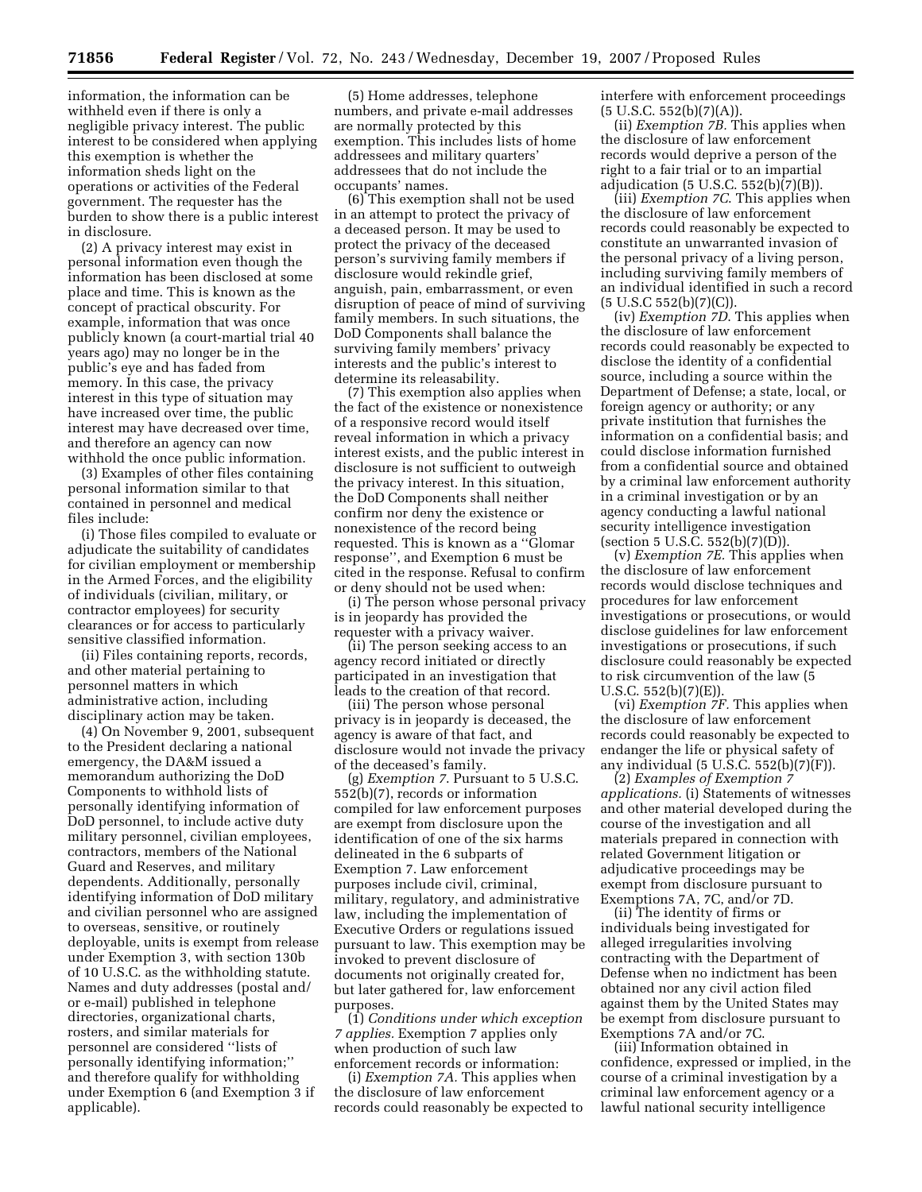information, the information can be withheld even if there is only a negligible privacy interest. The public interest to be considered when applying this exemption is whether the information sheds light on the operations or activities of the Federal government. The requester has the burden to show there is a public interest in disclosure.

(2) A privacy interest may exist in personal information even though the information has been disclosed at some place and time. This is known as the concept of practical obscurity. For example, information that was once publicly known (a court-martial trial 40 years ago) may no longer be in the public's eye and has faded from memory. In this case, the privacy interest in this type of situation may have increased over time, the public interest may have decreased over time, and therefore an agency can now withhold the once public information.

(3) Examples of other files containing personal information similar to that contained in personnel and medical files include:

(i) Those files compiled to evaluate or adjudicate the suitability of candidates for civilian employment or membership in the Armed Forces, and the eligibility of individuals (civilian, military, or contractor employees) for security clearances or for access to particularly sensitive classified information.

(ii) Files containing reports, records, and other material pertaining to personnel matters in which administrative action, including disciplinary action may be taken.

(4) On November 9, 2001, subsequent to the President declaring a national emergency, the DA&M issued a memorandum authorizing the DoD Components to withhold lists of personally identifying information of DoD personnel, to include active duty military personnel, civilian employees, contractors, members of the National Guard and Reserves, and military dependents. Additionally, personally identifying information of DoD military and civilian personnel who are assigned to overseas, sensitive, or routinely deployable, units is exempt from release under Exemption 3, with section 130b of 10 U.S.C. as the withholding statute. Names and duty addresses (postal and/ or e-mail) published in telephone directories, organizational charts, rosters, and similar materials for personnel are considered ''lists of personally identifying information;'' and therefore qualify for withholding under Exemption 6 (and Exemption 3 if applicable).

(5) Home addresses, telephone numbers, and private e-mail addresses are normally protected by this exemption. This includes lists of home addressees and military quarters' addressees that do not include the occupants' names.

(6) This exemption shall not be used in an attempt to protect the privacy of a deceased person. It may be used to protect the privacy of the deceased person's surviving family members if disclosure would rekindle grief, anguish, pain, embarrassment, or even disruption of peace of mind of surviving family members. In such situations, the DoD Components shall balance the surviving family members' privacy interests and the public's interest to determine its releasability.

(7) This exemption also applies when the fact of the existence or nonexistence of a responsive record would itself reveal information in which a privacy interest exists, and the public interest in disclosure is not sufficient to outweigh the privacy interest. In this situation, the DoD Components shall neither confirm nor deny the existence or nonexistence of the record being requested. This is known as a ''Glomar response'', and Exemption 6 must be cited in the response. Refusal to confirm or deny should not be used when:

(i) The person whose personal privacy is in jeopardy has provided the requester with a privacy waiver.

(ii) The person seeking access to an agency record initiated or directly participated in an investigation that leads to the creation of that record.

(iii) The person whose personal privacy is in jeopardy is deceased, the agency is aware of that fact, and disclosure would not invade the privacy of the deceased's family.

(g) *Exemption 7*. Pursuant to 5 U.S.C. 552(b)(7), records or information compiled for law enforcement purposes are exempt from disclosure upon the identification of one of the six harms delineated in the 6 subparts of Exemption 7. Law enforcement purposes include civil, criminal, military, regulatory, and administrative law, including the implementation of Executive Orders or regulations issued pursuant to law. This exemption may be invoked to prevent disclosure of documents not originally created for, but later gathered for, law enforcement purposes.

(1) *Conditions under which exception 7 applies.* Exemption 7 applies only when production of such law enforcement records or information:

(i) *Exemption 7A.* This applies when the disclosure of law enforcement records could reasonably be expected to interfere with enforcement proceedings  $(5 \text{ U.S.C. } 552(b)(7)(A)).$ 

(ii) *Exemption 7B.* This applies when the disclosure of law enforcement records would deprive a person of the right to a fair trial or to an impartial adjudication (5 U.S.C. 552(b)(7)(B)).

(iii) *Exemption 7C*. This applies when the disclosure of law enforcement records could reasonably be expected to constitute an unwarranted invasion of the personal privacy of a living person, including surviving family members of an individual identified in such a record (5 U.S.C 552(b)(7)(C)).

(iv) *Exemption 7D*. This applies when the disclosure of law enforcement records could reasonably be expected to disclose the identity of a confidential source, including a source within the Department of Defense; a state, local, or foreign agency or authority; or any private institution that furnishes the information on a confidential basis; and could disclose information furnished from a confidential source and obtained by a criminal law enforcement authority in a criminal investigation or by an agency conducting a lawful national security intelligence investigation (section 5 U.S.C. 552(b)(7)(D)).

(v) *Exemption 7E.* This applies when the disclosure of law enforcement records would disclose techniques and procedures for law enforcement investigations or prosecutions, or would disclose guidelines for law enforcement investigations or prosecutions, if such disclosure could reasonably be expected to risk circumvention of the law (5 U.S.C.  $552(b)(7)(E)$ .

(vi) *Exemption 7F.* This applies when the disclosure of law enforcement records could reasonably be expected to endanger the life or physical safety of any individual (5 U.S.C. 552(b)(7)(F)).

(2) *Examples of Exemption 7 applications.* (i) Statements of witnesses and other material developed during the course of the investigation and all materials prepared in connection with related Government litigation or adjudicative proceedings may be exempt from disclosure pursuant to Exemptions 7A, 7C, and/or 7D.

(ii) The identity of firms or individuals being investigated for alleged irregularities involving contracting with the Department of Defense when no indictment has been obtained nor any civil action filed against them by the United States may be exempt from disclosure pursuant to Exemptions 7A and/or 7C.

(iii) Information obtained in confidence, expressed or implied, in the course of a criminal investigation by a criminal law enforcement agency or a lawful national security intelligence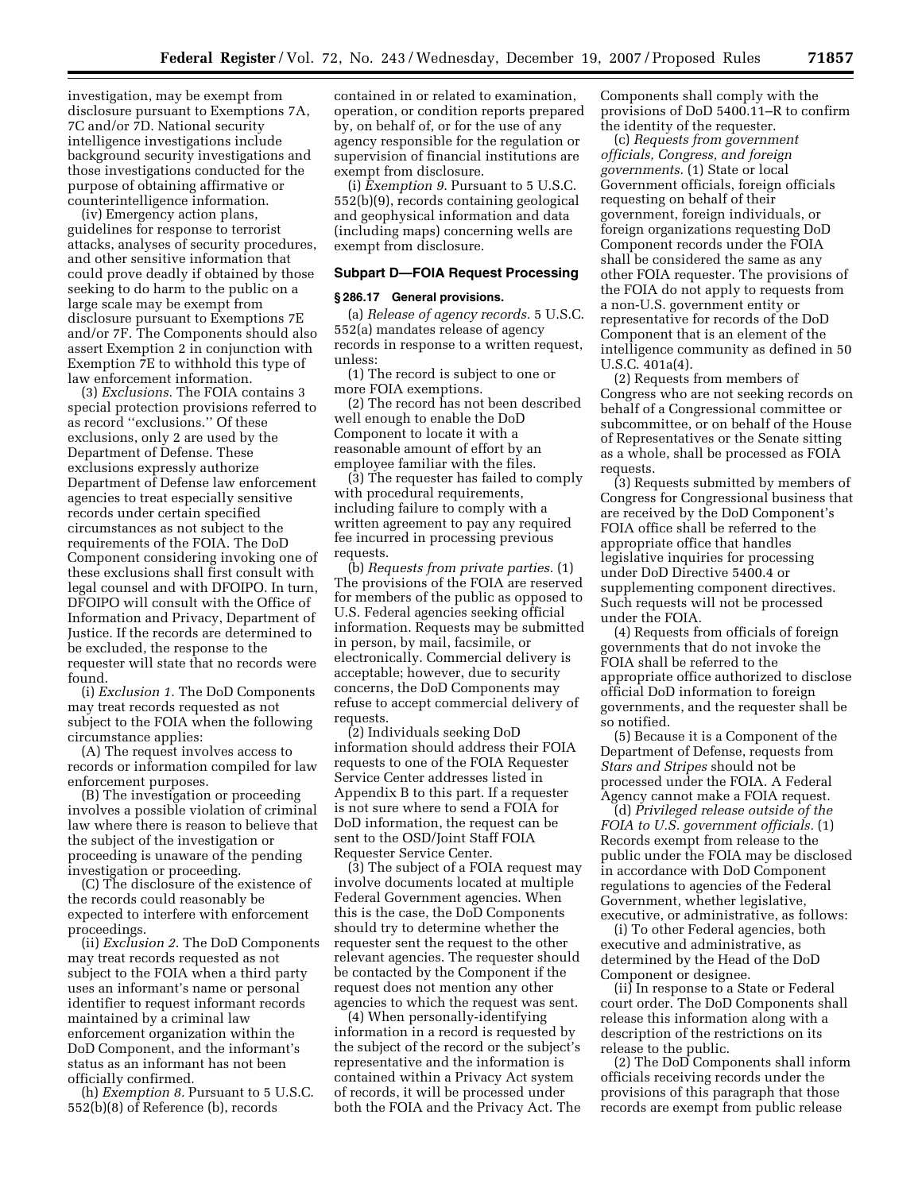investigation, may be exempt from disclosure pursuant to Exemptions 7A, 7C and/or 7D. National security intelligence investigations include background security investigations and those investigations conducted for the purpose of obtaining affirmative or counterintelligence information.

(iv) Emergency action plans, guidelines for response to terrorist attacks, analyses of security procedures, and other sensitive information that could prove deadly if obtained by those seeking to do harm to the public on a large scale may be exempt from disclosure pursuant to Exemptions 7E and/or 7F. The Components should also assert Exemption 2 in conjunction with Exemption 7E to withhold this type of law enforcement information.

(3) *Exclusions.* The FOIA contains 3 special protection provisions referred to as record ''exclusions.'' Of these exclusions, only 2 are used by the Department of Defense. These exclusions expressly authorize Department of Defense law enforcement agencies to treat especially sensitive records under certain specified circumstances as not subject to the requirements of the FOIA. The DoD Component considering invoking one of these exclusions shall first consult with legal counsel and with DFOIPO. In turn, DFOIPO will consult with the Office of Information and Privacy, Department of Justice. If the records are determined to be excluded, the response to the requester will state that no records were found.

(i) *Exclusion 1.* The DoD Components may treat records requested as not subject to the FOIA when the following circumstance applies:

(A) The request involves access to records or information compiled for law enforcement purposes.

(B) The investigation or proceeding involves a possible violation of criminal law where there is reason to believe that the subject of the investigation or proceeding is unaware of the pending investigation or proceeding.

(C) The disclosure of the existence of the records could reasonably be expected to interfere with enforcement proceedings.

(ii) *Exclusion 2*. The DoD Components may treat records requested as not subject to the FOIA when a third party uses an informant's name or personal identifier to request informant records maintained by a criminal law enforcement organization within the DoD Component, and the informant's status as an informant has not been officially confirmed.

(h) *Exemption 8.* Pursuant to 5 U.S.C. 552(b)(8) of Reference (b), records

contained in or related to examination, operation, or condition reports prepared by, on behalf of, or for the use of any agency responsible for the regulation or supervision of financial institutions are exempt from disclosure.

(i) *Exemption 9*. Pursuant to 5 U.S.C. 552(b)(9), records containing geological and geophysical information and data (including maps) concerning wells are exempt from disclosure.

#### **Subpart D—FOIA Request Processing**

### **§ 286.17 General provisions.**

(a) *Release of agency records.* 5 U.S.C. 552(a) mandates release of agency records in response to a written request, unless:

(1) The record is subject to one or more FOIA exemptions.

(2) The record has not been described well enough to enable the DoD Component to locate it with a reasonable amount of effort by an employee familiar with the files.

(3) The requester has failed to comply with procedural requirements, including failure to comply with a written agreement to pay any required fee incurred in processing previous requests.

(b) *Requests from private parties.* (1) The provisions of the FOIA are reserved for members of the public as opposed to U.S. Federal agencies seeking official information. Requests may be submitted in person, by mail, facsimile, or electronically. Commercial delivery is acceptable; however, due to security concerns, the DoD Components may refuse to accept commercial delivery of requests.

(2) Individuals seeking DoD information should address their FOIA requests to one of the FOIA Requester Service Center addresses listed in Appendix B to this part. If a requester is not sure where to send a FOIA for DoD information, the request can be sent to the OSD/Joint Staff FOIA Requester Service Center.

(3) The subject of a FOIA request may involve documents located at multiple Federal Government agencies. When this is the case, the DoD Components should try to determine whether the requester sent the request to the other relevant agencies. The requester should be contacted by the Component if the request does not mention any other agencies to which the request was sent.

(4) When personally-identifying information in a record is requested by the subject of the record or the subject's representative and the information is contained within a Privacy Act system of records, it will be processed under both the FOIA and the Privacy Act. The Components shall comply with the provisions of DoD 5400.11–R to confirm the identity of the requester.

(c) *Requests from government officials, Congress, and foreign governments.* (1) State or local Government officials, foreign officials requesting on behalf of their government, foreign individuals, or foreign organizations requesting DoD Component records under the FOIA shall be considered the same as any other FOIA requester. The provisions of the FOIA do not apply to requests from a non-U.S. government entity or representative for records of the DoD Component that is an element of the intelligence community as defined in 50 U.S.C. 401a(4).

(2) Requests from members of Congress who are not seeking records on behalf of a Congressional committee or subcommittee, or on behalf of the House of Representatives or the Senate sitting as a whole, shall be processed as FOIA requests.

(3) Requests submitted by members of Congress for Congressional business that are received by the DoD Component's FOIA office shall be referred to the appropriate office that handles legislative inquiries for processing under DoD Directive 5400.4 or supplementing component directives. Such requests will not be processed under the FOIA.

(4) Requests from officials of foreign governments that do not invoke the FOIA shall be referred to the appropriate office authorized to disclose official DoD information to foreign governments, and the requester shall be so notified.

(5) Because it is a Component of the Department of Defense, requests from *Stars and Stripes* should not be processed under the FOIA. A Federal Agency cannot make a FOIA request.

(d) *Privileged release outside of the FOIA to U.S. government officials.* (1) Records exempt from release to the public under the FOIA may be disclosed in accordance with DoD Component regulations to agencies of the Federal Government, whether legislative, executive, or administrative, as follows:

(i) To other Federal agencies, both executive and administrative, as determined by the Head of the DoD Component or designee.

(ii) In response to a State or Federal court order. The DoD Components shall release this information along with a description of the restrictions on its release to the public.

(2) The DoD Components shall inform officials receiving records under the provisions of this paragraph that those records are exempt from public release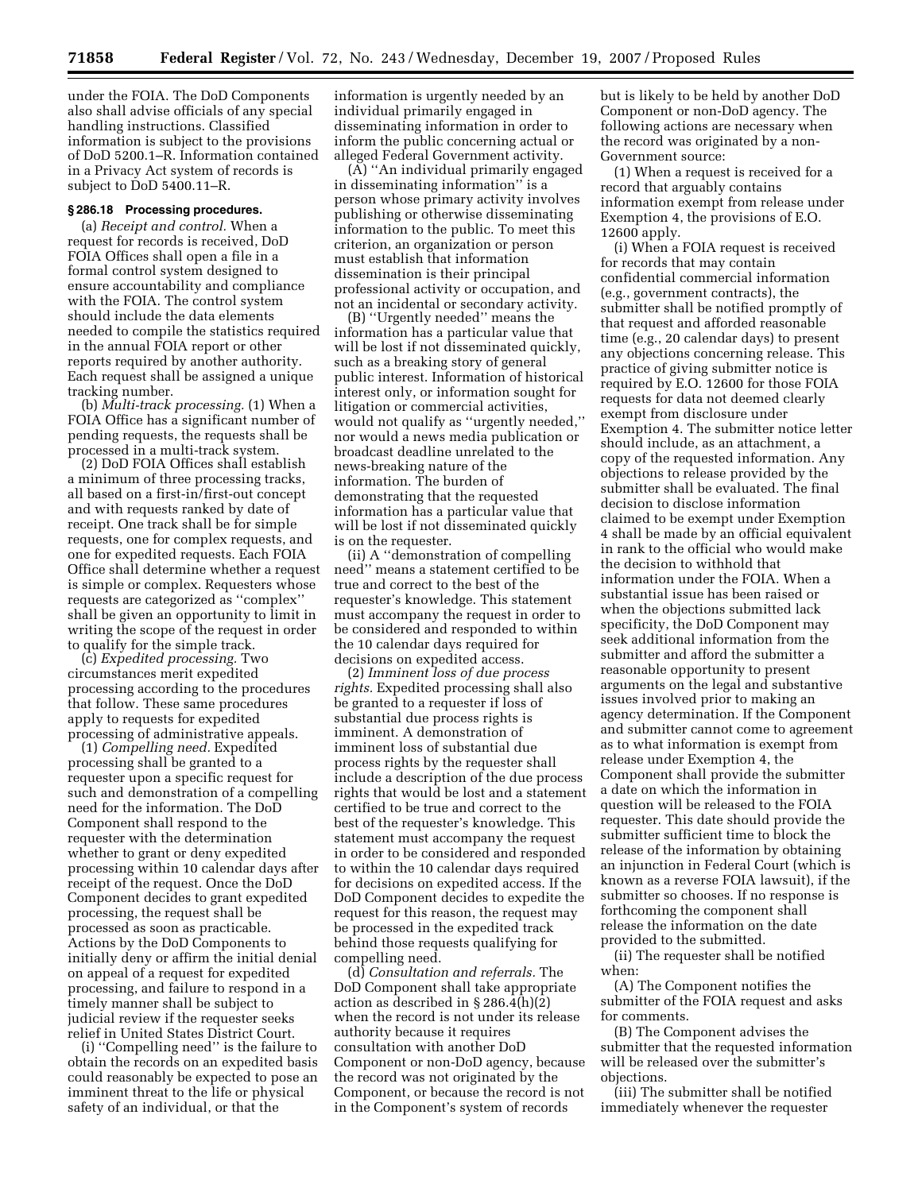under the FOIA. The DoD Components also shall advise officials of any special handling instructions. Classified information is subject to the provisions of DoD 5200.1–R. Information contained in a Privacy Act system of records is subject to DoD 5400.11–R.

#### **§ 286.18 Processing procedures.**

(a) *Receipt and control.* When a request for records is received, DoD FOIA Offices shall open a file in a formal control system designed to ensure accountability and compliance with the FOIA. The control system should include the data elements needed to compile the statistics required in the annual FOIA report or other reports required by another authority. Each request shall be assigned a unique tracking number.

(b) *Multi-track processing.* (1) When a FOIA Office has a significant number of pending requests, the requests shall be processed in a multi-track system.

(2) DoD FOIA Offices shall establish a minimum of three processing tracks, all based on a first-in/first-out concept and with requests ranked by date of receipt. One track shall be for simple requests, one for complex requests, and one for expedited requests. Each FOIA Office shall determine whether a request is simple or complex. Requesters whose requests are categorized as ''complex'' shall be given an opportunity to limit in writing the scope of the request in order to qualify for the simple track.

(c) *Expedited processing.* Two circumstances merit expedited processing according to the procedures that follow. These same procedures apply to requests for expedited processing of administrative appeals.

(1) *Compelling need.* Expedited processing shall be granted to a requester upon a specific request for such and demonstration of a compelling need for the information. The DoD Component shall respond to the requester with the determination whether to grant or deny expedited processing within 10 calendar days after receipt of the request. Once the DoD Component decides to grant expedited processing, the request shall be processed as soon as practicable. Actions by the DoD Components to initially deny or affirm the initial denial on appeal of a request for expedited processing, and failure to respond in a timely manner shall be subject to judicial review if the requester seeks relief in United States District Court.

(i) ''Compelling need'' is the failure to obtain the records on an expedited basis could reasonably be expected to pose an imminent threat to the life or physical safety of an individual, or that the

information is urgently needed by an individual primarily engaged in disseminating information in order to inform the public concerning actual or alleged Federal Government activity.

(A) ''An individual primarily engaged in disseminating information'' is a person whose primary activity involves publishing or otherwise disseminating information to the public. To meet this criterion, an organization or person must establish that information dissemination is their principal professional activity or occupation, and not an incidental or secondary activity.

(B) ''Urgently needed'' means the information has a particular value that will be lost if not disseminated quickly, such as a breaking story of general public interest. Information of historical interest only, or information sought for litigation or commercial activities, would not qualify as ''urgently needed,'' nor would a news media publication or broadcast deadline unrelated to the news-breaking nature of the information. The burden of demonstrating that the requested information has a particular value that will be lost if not disseminated quickly is on the requester.

(ii) A ''demonstration of compelling need'' means a statement certified to be true and correct to the best of the requester's knowledge. This statement must accompany the request in order to be considered and responded to within the 10 calendar days required for decisions on expedited access.

(2) *Imminent loss of due process rights.* Expedited processing shall also be granted to a requester if loss of substantial due process rights is imminent. A demonstration of imminent loss of substantial due process rights by the requester shall include a description of the due process rights that would be lost and a statement certified to be true and correct to the best of the requester's knowledge. This statement must accompany the request in order to be considered and responded to within the 10 calendar days required for decisions on expedited access. If the DoD Component decides to expedite the request for this reason, the request may be processed in the expedited track behind those requests qualifying for compelling need.

(d) *Consultation and referrals.* The DoD Component shall take appropriate action as described in § 286.4(h)(2) when the record is not under its release authority because it requires consultation with another DoD Component or non-DoD agency, because the record was not originated by the Component, or because the record is not in the Component's system of records

but is likely to be held by another DoD Component or non-DoD agency. The following actions are necessary when the record was originated by a non-Government source:

(1) When a request is received for a record that arguably contains information exempt from release under Exemption 4, the provisions of E.O. 12600 apply.

(i) When a FOIA request is received for records that may contain confidential commercial information (e.g., government contracts), the submitter shall be notified promptly of that request and afforded reasonable time (e.g., 20 calendar days) to present any objections concerning release. This practice of giving submitter notice is required by E.O. 12600 for those FOIA requests for data not deemed clearly exempt from disclosure under Exemption 4. The submitter notice letter should include, as an attachment, a copy of the requested information. Any objections to release provided by the submitter shall be evaluated. The final decision to disclose information claimed to be exempt under Exemption 4 shall be made by an official equivalent in rank to the official who would make the decision to withhold that information under the FOIA. When a substantial issue has been raised or when the objections submitted lack specificity, the DoD Component may seek additional information from the submitter and afford the submitter a reasonable opportunity to present arguments on the legal and substantive issues involved prior to making an agency determination. If the Component and submitter cannot come to agreement as to what information is exempt from release under Exemption 4, the Component shall provide the submitter a date on which the information in question will be released to the FOIA requester. This date should provide the submitter sufficient time to block the release of the information by obtaining an injunction in Federal Court (which is known as a reverse FOIA lawsuit), if the submitter so chooses. If no response is forthcoming the component shall release the information on the date provided to the submitted.

(ii) The requester shall be notified when:

(A) The Component notifies the submitter of the FOIA request and asks for comments.

(B) The Component advises the submitter that the requested information will be released over the submitter's objections.

(iii) The submitter shall be notified immediately whenever the requester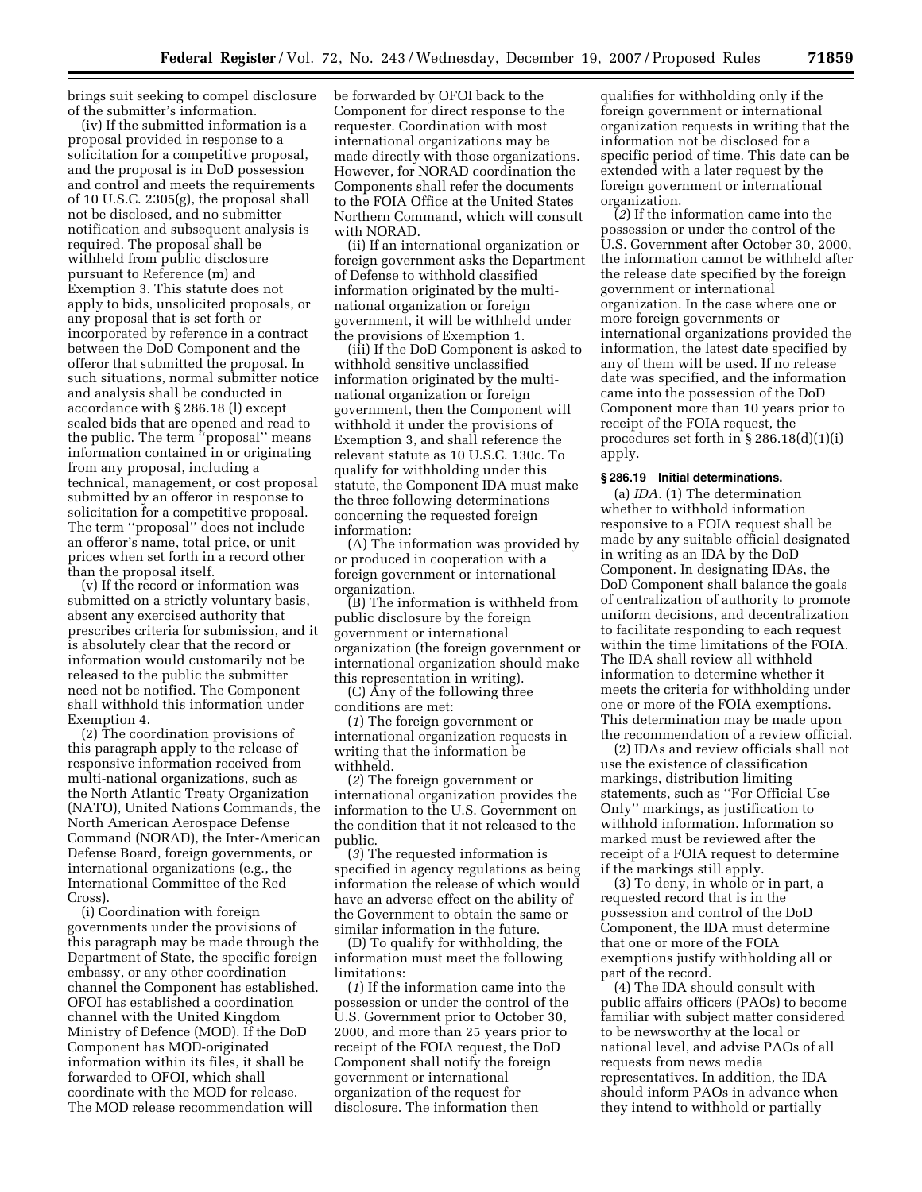brings suit seeking to compel disclosure of the submitter's information.

(iv) If the submitted information is a proposal provided in response to a solicitation for a competitive proposal, and the proposal is in DoD possession and control and meets the requirements of 10 U.S.C. 2305(g), the proposal shall not be disclosed, and no submitter notification and subsequent analysis is required. The proposal shall be withheld from public disclosure pursuant to Reference (m) and Exemption 3. This statute does not apply to bids, unsolicited proposals, or any proposal that is set forth or incorporated by reference in a contract between the DoD Component and the offeror that submitted the proposal. In such situations, normal submitter notice and analysis shall be conducted in accordance with § 286.18 (l) except sealed bids that are opened and read to the public. The term ''proposal'' means information contained in or originating from any proposal, including a technical, management, or cost proposal submitted by an offeror in response to solicitation for a competitive proposal. The term ''proposal'' does not include an offeror's name, total price, or unit prices when set forth in a record other than the proposal itself.

(v) If the record or information was submitted on a strictly voluntary basis, absent any exercised authority that prescribes criteria for submission, and it is absolutely clear that the record or information would customarily not be released to the public the submitter need not be notified. The Component shall withhold this information under Exemption 4.

(2) The coordination provisions of this paragraph apply to the release of responsive information received from multi-national organizations, such as the North Atlantic Treaty Organization (NATO), United Nations Commands, the North American Aerospace Defense Command (NORAD), the Inter-American Defense Board, foreign governments, or international organizations (e.g., the International Committee of the Red Cross).

(i) Coordination with foreign governments under the provisions of this paragraph may be made through the Department of State, the specific foreign embassy, or any other coordination channel the Component has established. OFOI has established a coordination channel with the United Kingdom Ministry of Defence (MOD). If the DoD Component has MOD-originated information within its files, it shall be forwarded to OFOI, which shall coordinate with the MOD for release. The MOD release recommendation will

be forwarded by OFOI back to the Component for direct response to the requester. Coordination with most international organizations may be made directly with those organizations. However, for NORAD coordination the Components shall refer the documents to the FOIA Office at the United States Northern Command, which will consult with NORAD.

(ii) If an international organization or foreign government asks the Department of Defense to withhold classified information originated by the multinational organization or foreign government, it will be withheld under the provisions of Exemption 1.

(iii) If the DoD Component is asked to withhold sensitive unclassified information originated by the multinational organization or foreign government, then the Component will withhold it under the provisions of Exemption 3, and shall reference the relevant statute as 10 U.S.C. 130c. To qualify for withholding under this statute, the Component IDA must make the three following determinations concerning the requested foreign information:

(A) The information was provided by or produced in cooperation with a foreign government or international organization.

(B) The information is withheld from public disclosure by the foreign government or international organization (the foreign government or international organization should make this representation in writing).

(C) Any of the following three conditions are met:

(*1*) The foreign government or international organization requests in writing that the information be withheld.

(*2*) The foreign government or international organization provides the information to the U.S. Government on the condition that it not released to the public.

(*3*) The requested information is specified in agency regulations as being information the release of which would have an adverse effect on the ability of the Government to obtain the same or similar information in the future.

(D) To qualify for withholding, the information must meet the following limitations:

(*1*) If the information came into the possession or under the control of the U.S. Government prior to October 30, 2000, and more than 25 years prior to receipt of the FOIA request, the DoD Component shall notify the foreign government or international organization of the request for disclosure. The information then

qualifies for withholding only if the foreign government or international organization requests in writing that the information not be disclosed for a specific period of time. This date can be extended with a later request by the foreign government or international organization.

(*2*) If the information came into the possession or under the control of the U.S. Government after October 30, 2000, the information cannot be withheld after the release date specified by the foreign government or international organization. In the case where one or more foreign governments or international organizations provided the information, the latest date specified by any of them will be used. If no release date was specified, and the information came into the possession of the DoD Component more than 10 years prior to receipt of the FOIA request, the procedures set forth in § 286.18(d)(1)(i) apply.

### **§ 286.19 Initial determinations.**

(a) *IDA.* (1) The determination whether to withhold information responsive to a FOIA request shall be made by any suitable official designated in writing as an IDA by the DoD Component. In designating IDAs, the DoD Component shall balance the goals of centralization of authority to promote uniform decisions, and decentralization to facilitate responding to each request within the time limitations of the FOIA. The IDA shall review all withheld information to determine whether it meets the criteria for withholding under one or more of the FOIA exemptions. This determination may be made upon the recommendation of a review official.

(2) IDAs and review officials shall not use the existence of classification markings, distribution limiting statements, such as ''For Official Use Only'' markings, as justification to withhold information. Information so marked must be reviewed after the receipt of a FOIA request to determine if the markings still apply.

(3) To deny, in whole or in part, a requested record that is in the possession and control of the DoD Component, the IDA must determine that one or more of the FOIA exemptions justify withholding all or part of the record.

(4) The IDA should consult with public affairs officers (PAOs) to become familiar with subject matter considered to be newsworthy at the local or national level, and advise PAOs of all requests from news media representatives. In addition, the IDA should inform PAOs in advance when they intend to withhold or partially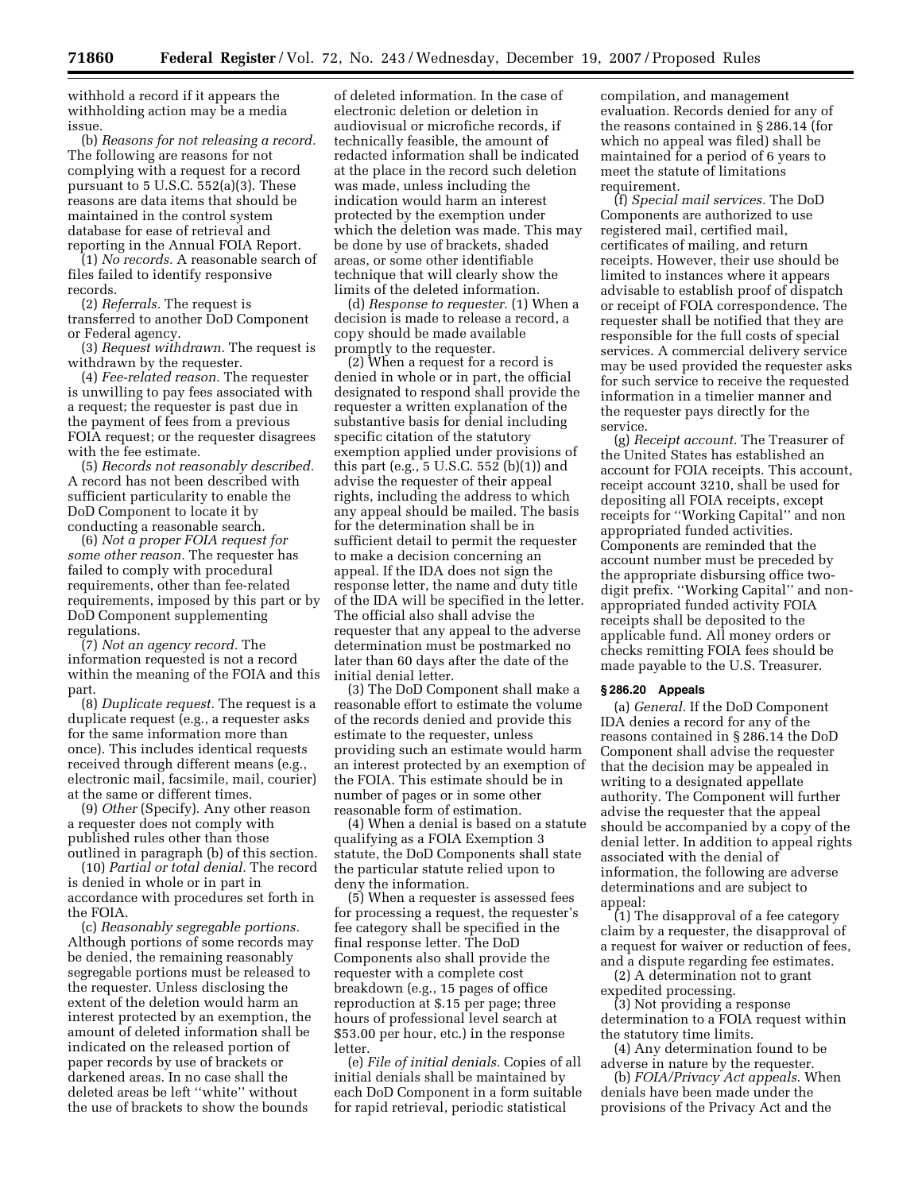withhold a record if it appears the withholding action may be a media issue.

(b) *Reasons for not releasing a record.*  The following are reasons for not complying with a request for a record pursuant to 5 U.S.C. 552(a)(3). These reasons are data items that should be maintained in the control system database for ease of retrieval and reporting in the Annual FOIA Report.

(1) *No records.* A reasonable search of files failed to identify responsive records.

(2) *Referrals.* The request is transferred to another DoD Component or Federal agency.

(3) *Request withdrawn.* The request is withdrawn by the requester.

(4) *Fee-related reason.* The requester is unwilling to pay fees associated with a request; the requester is past due in the payment of fees from a previous FOIA request; or the requester disagrees with the fee estimate.

(5) *Records not reasonably described.*  A record has not been described with sufficient particularity to enable the DoD Component to locate it by conducting a reasonable search.

(6) *Not a proper FOIA request for some other reason.* The requester has failed to comply with procedural requirements, other than fee-related requirements, imposed by this part or by DoD Component supplementing regulations.

(7) *Not an agency record.* The information requested is not a record within the meaning of the FOIA and this part.

(8) *Duplicate request.* The request is a duplicate request (e.g., a requester asks for the same information more than once). This includes identical requests received through different means (e.g., electronic mail, facsimile, mail, courier) at the same or different times.

(9) *Other* (Specify). Any other reason a requester does not comply with published rules other than those outlined in paragraph (b) of this section.

(10) *Partial or total denial.* The record is denied in whole or in part in accordance with procedures set forth in the FOIA.

(c) *Reasonably segregable portions.*  Although portions of some records may be denied, the remaining reasonably segregable portions must be released to the requester. Unless disclosing the extent of the deletion would harm an interest protected by an exemption, the amount of deleted information shall be indicated on the released portion of paper records by use of brackets or darkened areas. In no case shall the deleted areas be left ''white'' without the use of brackets to show the bounds

of deleted information. In the case of electronic deletion or deletion in audiovisual or microfiche records, if technically feasible, the amount of redacted information shall be indicated at the place in the record such deletion was made, unless including the indication would harm an interest protected by the exemption under which the deletion was made. This may be done by use of brackets, shaded areas, or some other identifiable technique that will clearly show the limits of the deleted information.

(d) *Response to requester.* (1) When a decision is made to release a record, a copy should be made available promptly to the requester.

(2) When a request for a record is denied in whole or in part, the official designated to respond shall provide the requester a written explanation of the substantive basis for denial including specific citation of the statutory exemption applied under provisions of this part (e.g., 5 U.S.C. 552 (b)(1)) and advise the requester of their appeal rights, including the address to which any appeal should be mailed. The basis for the determination shall be in sufficient detail to permit the requester to make a decision concerning an appeal. If the IDA does not sign the response letter, the name and duty title of the IDA will be specified in the letter. The official also shall advise the requester that any appeal to the adverse determination must be postmarked no later than 60 days after the date of the initial denial letter.

(3) The DoD Component shall make a reasonable effort to estimate the volume of the records denied and provide this estimate to the requester, unless providing such an estimate would harm an interest protected by an exemption of the FOIA. This estimate should be in number of pages or in some other reasonable form of estimation.

(4) When a denial is based on a statute qualifying as a FOIA Exemption 3 statute, the DoD Components shall state the particular statute relied upon to deny the information.

(5) When a requester is assessed fees for processing a request, the requester's fee category shall be specified in the final response letter. The DoD Components also shall provide the requester with a complete cost breakdown (e.g., 15 pages of office reproduction at \$.15 per page; three hours of professional level search at \$53.00 per hour, etc.) in the response letter.

(e) *File of initial denials.* Copies of all initial denials shall be maintained by each DoD Component in a form suitable for rapid retrieval, periodic statistical

compilation, and management evaluation. Records denied for any of the reasons contained in § 286.14 (for which no appeal was filed) shall be maintained for a period of 6 years to meet the statute of limitations requirement.

(f) *Special mail services.* The DoD Components are authorized to use registered mail, certified mail, certificates of mailing, and return receipts. However, their use should be limited to instances where it appears advisable to establish proof of dispatch or receipt of FOIA correspondence. The requester shall be notified that they are responsible for the full costs of special services. A commercial delivery service may be used provided the requester asks for such service to receive the requested information in a timelier manner and the requester pays directly for the service.

(g) *Receipt account.* The Treasurer of the United States has established an account for FOIA receipts. This account, receipt account 3210, shall be used for depositing all FOIA receipts, except receipts for ''Working Capital'' and non appropriated funded activities. Components are reminded that the account number must be preceded by the appropriate disbursing office twodigit prefix. ''Working Capital'' and nonappropriated funded activity FOIA receipts shall be deposited to the applicable fund. All money orders or checks remitting FOIA fees should be made payable to the U.S. Treasurer.

### **§ 286.20 Appeals**

(a) *General.* If the DoD Component IDA denies a record for any of the reasons contained in § 286.14 the DoD Component shall advise the requester that the decision may be appealed in writing to a designated appellate authority. The Component will further advise the requester that the appeal should be accompanied by a copy of the denial letter. In addition to appeal rights associated with the denial of information, the following are adverse determinations and are subject to appeal:

(1) The disapproval of a fee category claim by a requester, the disapproval of a request for waiver or reduction of fees, and a dispute regarding fee estimates.

(2) A determination not to grant expedited processing.

(3) Not providing a response determination to a FOIA request within the statutory time limits.

(4) Any determination found to be adverse in nature by the requester.

(b) *FOIA/Privacy Act appeals*. When denials have been made under the provisions of the Privacy Act and the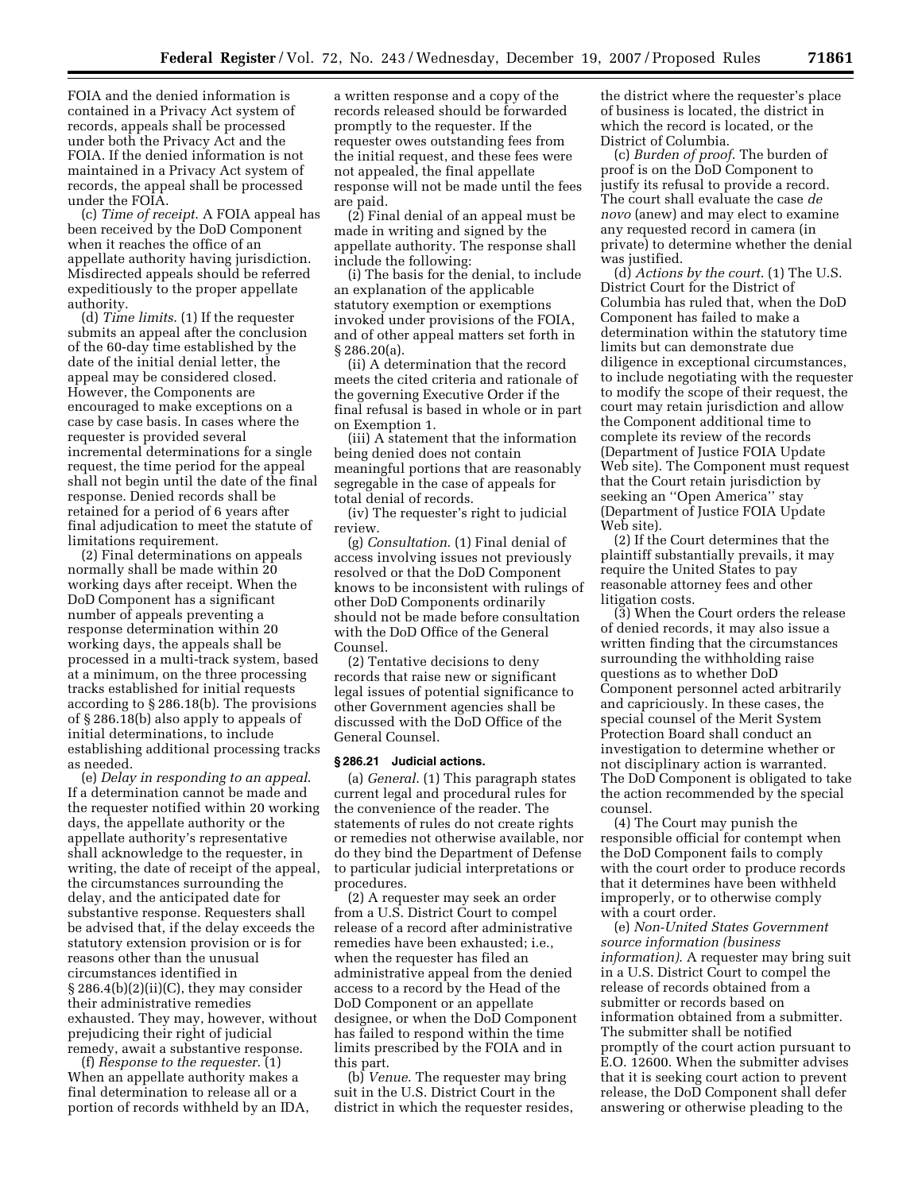FOIA and the denied information is contained in a Privacy Act system of records, appeals shall be processed under both the Privacy Act and the FOIA. If the denied information is not maintained in a Privacy Act system of records, the appeal shall be processed under the FOIA.

(c) *Time of receipt*. A FOIA appeal has been received by the DoD Component when it reaches the office of an appellate authority having jurisdiction. Misdirected appeals should be referred expeditiously to the proper appellate authority.

(d) *Time limits*. (1) If the requester submits an appeal after the conclusion of the 60-day time established by the date of the initial denial letter, the appeal may be considered closed. However, the Components are encouraged to make exceptions on a case by case basis. In cases where the requester is provided several incremental determinations for a single request, the time period for the appeal shall not begin until the date of the final response. Denied records shall be retained for a period of 6 years after final adjudication to meet the statute of limitations requirement.

(2) Final determinations on appeals normally shall be made within 20 working days after receipt. When the DoD Component has a significant number of appeals preventing a response determination within 20 working days, the appeals shall be processed in a multi-track system, based at a minimum, on the three processing tracks established for initial requests according to § 286.18(b). The provisions of § 286.18(b) also apply to appeals of initial determinations, to include establishing additional processing tracks as needed.

(e) *Delay in responding to an appeal*. If a determination cannot be made and the requester notified within 20 working days, the appellate authority or the appellate authority's representative shall acknowledge to the requester, in writing, the date of receipt of the appeal, the circumstances surrounding the delay, and the anticipated date for substantive response. Requesters shall be advised that, if the delay exceeds the statutory extension provision or is for reasons other than the unusual circumstances identified in § 286.4(b)(2)(ii)(C), they may consider their administrative remedies exhausted. They may, however, without prejudicing their right of judicial remedy, await a substantive response.

(f) *Response to the requester*. (1) When an appellate authority makes a final determination to release all or a portion of records withheld by an IDA, a written response and a copy of the records released should be forwarded promptly to the requester. If the requester owes outstanding fees from the initial request, and these fees were not appealed, the final appellate response will not be made until the fees are paid.

(2) Final denial of an appeal must be made in writing and signed by the appellate authority. The response shall include the following:

(i) The basis for the denial, to include an explanation of the applicable statutory exemption or exemptions invoked under provisions of the FOIA, and of other appeal matters set forth in § 286.20(a).

(ii) A determination that the record meets the cited criteria and rationale of the governing Executive Order if the final refusal is based in whole or in part on Exemption 1.

(iii) A statement that the information being denied does not contain meaningful portions that are reasonably segregable in the case of appeals for total denial of records.

(iv) The requester's right to judicial review.

(g) *Consultation*. (1) Final denial of access involving issues not previously resolved or that the DoD Component knows to be inconsistent with rulings of other DoD Components ordinarily should not be made before consultation with the DoD Office of the General Counsel.

(2) Tentative decisions to deny records that raise new or significant legal issues of potential significance to other Government agencies shall be discussed with the DoD Office of the General Counsel.

#### **§ 286.21 Judicial actions.**

(a) *General*. (1) This paragraph states current legal and procedural rules for the convenience of the reader. The statements of rules do not create rights or remedies not otherwise available, nor do they bind the Department of Defense to particular judicial interpretations or procedures.

(2) A requester may seek an order from a U.S. District Court to compel release of a record after administrative remedies have been exhausted; i.e., when the requester has filed an administrative appeal from the denied access to a record by the Head of the DoD Component or an appellate designee, or when the DoD Component has failed to respond within the time limits prescribed by the FOIA and in this part.

(b) *Venue*. The requester may bring suit in the U.S. District Court in the district in which the requester resides,

the district where the requester's place of business is located, the district in which the record is located, or the District of Columbia.

(c) *Burden of proof*. The burden of proof is on the DoD Component to justify its refusal to provide a record. The court shall evaluate the case *de novo* (anew) and may elect to examine any requested record in camera (in private) to determine whether the denial was justified.

(d) *Actions by the court*. (1) The U.S. District Court for the District of Columbia has ruled that, when the DoD Component has failed to make a determination within the statutory time limits but can demonstrate due diligence in exceptional circumstances, to include negotiating with the requester to modify the scope of their request, the court may retain jurisdiction and allow the Component additional time to complete its review of the records (Department of Justice FOIA Update Web site). The Component must request that the Court retain jurisdiction by seeking an ''Open America'' stay (Department of Justice FOIA Update Web site).

(2) If the Court determines that the plaintiff substantially prevails, it may require the United States to pay reasonable attorney fees and other litigation costs.

(3) When the Court orders the release of denied records, it may also issue a written finding that the circumstances surrounding the withholding raise questions as to whether DoD Component personnel acted arbitrarily and capriciously. In these cases, the special counsel of the Merit System Protection Board shall conduct an investigation to determine whether or not disciplinary action is warranted. The DoD Component is obligated to take the action recommended by the special counsel.

(4) The Court may punish the responsible official for contempt when the DoD Component fails to comply with the court order to produce records that it determines have been withheld improperly, or to otherwise comply with a court order.

(e) *Non-United States Government source information (business information)*. A requester may bring suit in a U.S. District Court to compel the release of records obtained from a submitter or records based on information obtained from a submitter. The submitter shall be notified promptly of the court action pursuant to E.O. 12600. When the submitter advises that it is seeking court action to prevent release, the DoD Component shall defer answering or otherwise pleading to the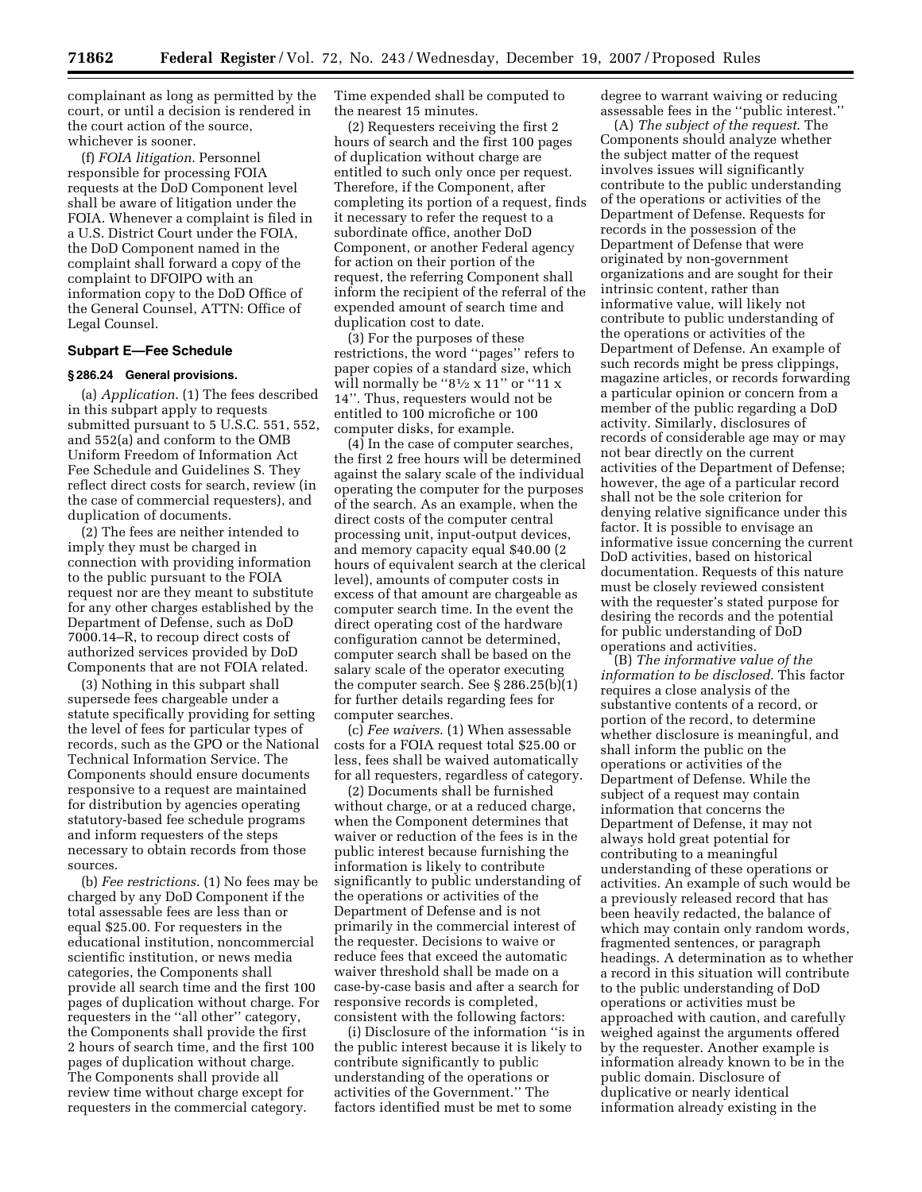complainant as long as permitted by the court, or until a decision is rendered in the court action of the source, whichever is sooner.

(f) *FOIA litigation*. Personnel responsible for processing FOIA requests at the DoD Component level shall be aware of litigation under the FOIA. Whenever a complaint is filed in a U.S. District Court under the FOIA, the DoD Component named in the complaint shall forward a copy of the complaint to DFOIPO with an information copy to the DoD Office of the General Counsel, ATTN: Office of Legal Counsel.

### **Subpart E—Fee Schedule**

#### **§ 286.24 General provisions.**

(a) *Application*. (1) The fees described in this subpart apply to requests submitted pursuant to 5 U.S.C. 551, 552, and 552(a) and conform to the OMB Uniform Freedom of Information Act Fee Schedule and Guidelines S. They reflect direct costs for search, review (in the case of commercial requesters), and duplication of documents.

(2) The fees are neither intended to imply they must be charged in connection with providing information to the public pursuant to the FOIA request nor are they meant to substitute for any other charges established by the Department of Defense, such as DoD 7000.14–R, to recoup direct costs of authorized services provided by DoD Components that are not FOIA related.

(3) Nothing in this subpart shall supersede fees chargeable under a statute specifically providing for setting the level of fees for particular types of records, such as the GPO or the National Technical Information Service. The Components should ensure documents responsive to a request are maintained for distribution by agencies operating statutory-based fee schedule programs and inform requesters of the steps necessary to obtain records from those sources.

(b) *Fee restrictions*. (1) No fees may be charged by any DoD Component if the total assessable fees are less than or equal \$25.00. For requesters in the educational institution, noncommercial scientific institution, or news media categories, the Components shall provide all search time and the first 100 pages of duplication without charge. For requesters in the ''all other'' category, the Components shall provide the first 2 hours of search time, and the first 100 pages of duplication without charge. The Components shall provide all review time without charge except for requesters in the commercial category.

Time expended shall be computed to the nearest 15 minutes.

(2) Requesters receiving the first 2 hours of search and the first 100 pages of duplication without charge are entitled to such only once per request. Therefore, if the Component, after completing its portion of a request, finds it necessary to refer the request to a subordinate office, another DoD Component, or another Federal agency for action on their portion of the request, the referring Component shall inform the recipient of the referral of the expended amount of search time and duplication cost to date.

(3) For the purposes of these restrictions, the word ''pages'' refers to paper copies of a standard size, which will normally be " $8\frac{1}{2} \times 11$ " or "11 x 14''. Thus, requesters would not be entitled to 100 microfiche or 100 computer disks, for example.

(4) In the case of computer searches, the first 2 free hours will be determined against the salary scale of the individual operating the computer for the purposes of the search. As an example, when the direct costs of the computer central processing unit, input-output devices, and memory capacity equal \$40.00 (2 hours of equivalent search at the clerical level), amounts of computer costs in excess of that amount are chargeable as computer search time. In the event the direct operating cost of the hardware configuration cannot be determined, computer search shall be based on the salary scale of the operator executing the computer search. See § 286.25(b)(1) for further details regarding fees for computer searches.

(c) *Fee waivers*. (1) When assessable costs for a FOIA request total \$25.00 or less, fees shall be waived automatically for all requesters, regardless of category.

(2) Documents shall be furnished without charge, or at a reduced charge, when the Component determines that waiver or reduction of the fees is in the public interest because furnishing the information is likely to contribute significantly to public understanding of the operations or activities of the Department of Defense and is not primarily in the commercial interest of the requester. Decisions to waive or reduce fees that exceed the automatic waiver threshold shall be made on a case-by-case basis and after a search for responsive records is completed, consistent with the following factors:

(i) Disclosure of the information ''is in the public interest because it is likely to contribute significantly to public understanding of the operations or activities of the Government.'' The factors identified must be met to some

degree to warrant waiving or reducing assessable fees in the ''public interest.''

(A) *The subject of the request*. The Components should analyze whether the subject matter of the request involves issues will significantly contribute to the public understanding of the operations or activities of the Department of Defense. Requests for records in the possession of the Department of Defense that were originated by non-government organizations and are sought for their intrinsic content, rather than informative value, will likely not contribute to public understanding of the operations or activities of the Department of Defense. An example of such records might be press clippings, magazine articles, or records forwarding a particular opinion or concern from a member of the public regarding a DoD activity. Similarly, disclosures of records of considerable age may or may not bear directly on the current activities of the Department of Defense; however, the age of a particular record shall not be the sole criterion for denying relative significance under this factor. It is possible to envisage an informative issue concerning the current DoD activities, based on historical documentation. Requests of this nature must be closely reviewed consistent with the requester's stated purpose for desiring the records and the potential for public understanding of DoD operations and activities.

(B) *The informative value of the information to be disclosed*. This factor requires a close analysis of the substantive contents of a record, or portion of the record, to determine whether disclosure is meaningful, and shall inform the public on the operations or activities of the Department of Defense. While the subject of a request may contain information that concerns the Department of Defense, it may not always hold great potential for contributing to a meaningful understanding of these operations or activities. An example of such would be a previously released record that has been heavily redacted, the balance of which may contain only random words, fragmented sentences, or paragraph headings. A determination as to whether a record in this situation will contribute to the public understanding of DoD operations or activities must be approached with caution, and carefully weighed against the arguments offered by the requester. Another example is information already known to be in the public domain. Disclosure of duplicative or nearly identical information already existing in the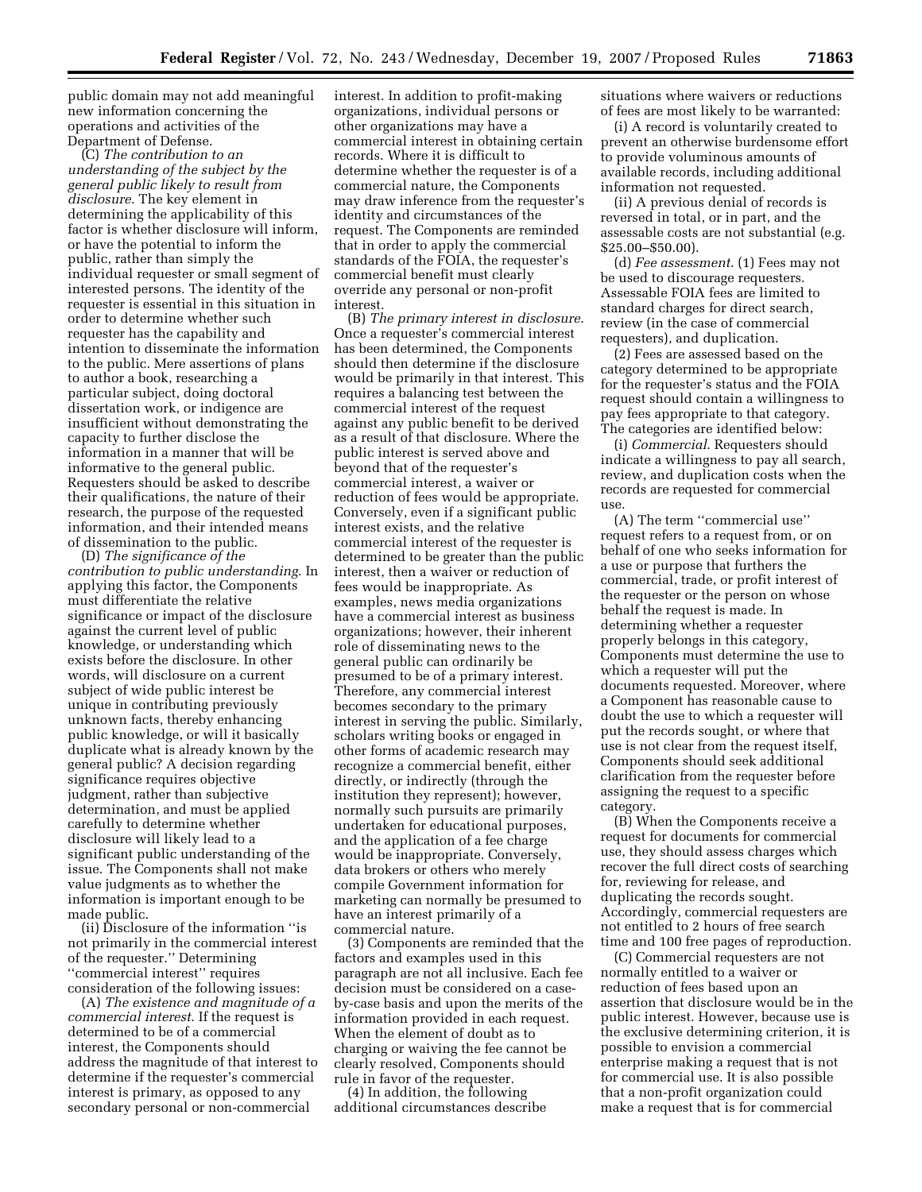public domain may not add meaningful new information concerning the operations and activities of the Department of Defense.

(C) *The contribution to an understanding of the subject by the general public likely to result from disclosure*. The key element in determining the applicability of this factor is whether disclosure will inform, or have the potential to inform the public, rather than simply the individual requester or small segment of interested persons. The identity of the requester is essential in this situation in order to determine whether such requester has the capability and intention to disseminate the information to the public. Mere assertions of plans to author a book, researching a particular subject, doing doctoral dissertation work, or indigence are insufficient without demonstrating the capacity to further disclose the information in a manner that will be informative to the general public. Requesters should be asked to describe their qualifications, the nature of their research, the purpose of the requested information, and their intended means of dissemination to the public.

(D) *The significance of the contribution to public understanding*. In applying this factor, the Components must differentiate the relative significance or impact of the disclosure against the current level of public knowledge, or understanding which exists before the disclosure. In other words, will disclosure on a current subject of wide public interest be unique in contributing previously unknown facts, thereby enhancing public knowledge, or will it basically duplicate what is already known by the general public? A decision regarding significance requires objective judgment, rather than subjective determination, and must be applied carefully to determine whether disclosure will likely lead to a significant public understanding of the issue. The Components shall not make value judgments as to whether the information is important enough to be made public.

(ii) Disclosure of the information ''is not primarily in the commercial interest of the requester.'' Determining ''commercial interest'' requires consideration of the following issues:

(A) *The existence and magnitude of a commercial interest*. If the request is determined to be of a commercial interest, the Components should address the magnitude of that interest to determine if the requester's commercial interest is primary, as opposed to any secondary personal or non-commercial

interest. In addition to profit-making organizations, individual persons or other organizations may have a commercial interest in obtaining certain records. Where it is difficult to determine whether the requester is of a commercial nature, the Components may draw inference from the requester's identity and circumstances of the request. The Components are reminded that in order to apply the commercial standards of the FOIA, the requester's commercial benefit must clearly override any personal or non-profit interest.

(B) *The primary interest in disclosure*. Once a requester's commercial interest has been determined, the Components should then determine if the disclosure would be primarily in that interest. This requires a balancing test between the commercial interest of the request against any public benefit to be derived as a result of that disclosure. Where the public interest is served above and beyond that of the requester's commercial interest, a waiver or reduction of fees would be appropriate. Conversely, even if a significant public interest exists, and the relative commercial interest of the requester is determined to be greater than the public interest, then a waiver or reduction of fees would be inappropriate. As examples, news media organizations have a commercial interest as business organizations; however, their inherent role of disseminating news to the general public can ordinarily be presumed to be of a primary interest. Therefore, any commercial interest becomes secondary to the primary interest in serving the public. Similarly, scholars writing books or engaged in other forms of academic research may recognize a commercial benefit, either directly, or indirectly (through the institution they represent); however, normally such pursuits are primarily undertaken for educational purposes, and the application of a fee charge would be inappropriate. Conversely, data brokers or others who merely compile Government information for marketing can normally be presumed to have an interest primarily of a commercial nature.

(3) Components are reminded that the factors and examples used in this paragraph are not all inclusive. Each fee decision must be considered on a caseby-case basis and upon the merits of the information provided in each request. When the element of doubt as to charging or waiving the fee cannot be clearly resolved, Components should rule in favor of the requester.

(4) In addition, the following additional circumstances describe situations where waivers or reductions of fees are most likely to be warranted:

(i) A record is voluntarily created to prevent an otherwise burdensome effort to provide voluminous amounts of available records, including additional information not requested.

(ii) A previous denial of records is reversed in total, or in part, and the assessable costs are not substantial (e.g. \$25.00–\$50.00).

(d) *Fee assessment*. (1) Fees may not be used to discourage requesters. Assessable FOIA fees are limited to standard charges for direct search, review (in the case of commercial requesters), and duplication.

(2) Fees are assessed based on the category determined to be appropriate for the requester's status and the FOIA request should contain a willingness to pay fees appropriate to that category. The categories are identified below:

(i) *Commercial*. Requesters should indicate a willingness to pay all search, review, and duplication costs when the records are requested for commercial use.

(A) The term ''commercial use'' request refers to a request from, or on behalf of one who seeks information for a use or purpose that furthers the commercial, trade, or profit interest of the requester or the person on whose behalf the request is made. In determining whether a requester properly belongs in this category, Components must determine the use to which a requester will put the documents requested. Moreover, where a Component has reasonable cause to doubt the use to which a requester will put the records sought, or where that use is not clear from the request itself, Components should seek additional clarification from the requester before assigning the request to a specific category.

(B) When the Components receive a request for documents for commercial use, they should assess charges which recover the full direct costs of searching for, reviewing for release, and duplicating the records sought. Accordingly, commercial requesters are not entitled to 2 hours of free search time and 100 free pages of reproduction.

(C) Commercial requesters are not normally entitled to a waiver or reduction of fees based upon an assertion that disclosure would be in the public interest. However, because use is the exclusive determining criterion, it is possible to envision a commercial enterprise making a request that is not for commercial use. It is also possible that a non-profit organization could make a request that is for commercial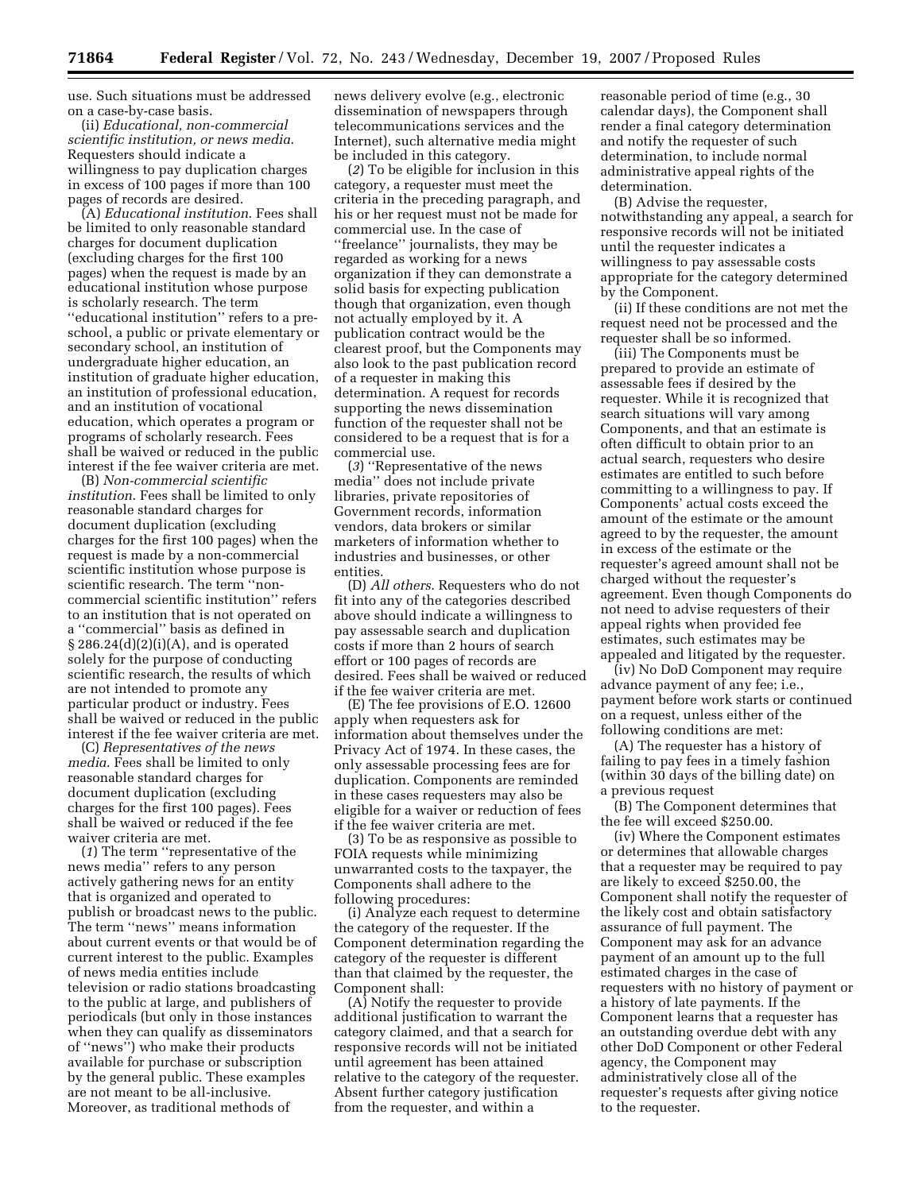use. Such situations must be addressed on a case-by-case basis.

(ii) *Educational, non-commercial scientific institution, or news media*. Requesters should indicate a willingness to pay duplication charges in excess of 100 pages if more than 100 pages of records are desired.

(A) *Educational institution*. Fees shall be limited to only reasonable standard charges for document duplication (excluding charges for the first 100 pages) when the request is made by an educational institution whose purpose is scholarly research. The term ''educational institution'' refers to a preschool, a public or private elementary or secondary school, an institution of undergraduate higher education, an institution of graduate higher education, an institution of professional education, and an institution of vocational education, which operates a program or programs of scholarly research. Fees shall be waived or reduced in the public interest if the fee waiver criteria are met.

(B) *Non-commercial scientific institution*. Fees shall be limited to only reasonable standard charges for document duplication (excluding charges for the first 100 pages) when the request is made by a non-commercial scientific institution whose purpose is scientific research. The term ''noncommercial scientific institution'' refers to an institution that is not operated on a ''commercial'' basis as defined in § 286.24(d)(2)(i)(A), and is operated solely for the purpose of conducting scientific research, the results of which are not intended to promote any particular product or industry. Fees shall be waived or reduced in the public interest if the fee waiver criteria are met.

(C) *Representatives of the news media*. Fees shall be limited to only reasonable standard charges for document duplication (excluding charges for the first 100 pages). Fees shall be waived or reduced if the fee waiver criteria are met.

(*1*) The term ''representative of the news media'' refers to any person actively gathering news for an entity that is organized and operated to publish or broadcast news to the public. The term ''news'' means information about current events or that would be of current interest to the public. Examples of news media entities include television or radio stations broadcasting to the public at large, and publishers of periodicals (but only in those instances when they can qualify as disseminators of ''news'') who make their products available for purchase or subscription by the general public. These examples are not meant to be all-inclusive. Moreover, as traditional methods of

news delivery evolve (e.g., electronic dissemination of newspapers through telecommunications services and the Internet), such alternative media might be included in this category.

(*2*) To be eligible for inclusion in this category, a requester must meet the criteria in the preceding paragraph, and his or her request must not be made for commercial use. In the case of ''freelance'' journalists, they may be regarded as working for a news organization if they can demonstrate a solid basis for expecting publication though that organization, even though not actually employed by it. A publication contract would be the clearest proof, but the Components may also look to the past publication record of a requester in making this determination. A request for records supporting the news dissemination function of the requester shall not be considered to be a request that is for a commercial use.

(*3*) ''Representative of the news media'' does not include private libraries, private repositories of Government records, information vendors, data brokers or similar marketers of information whether to industries and businesses, or other entities.

(D) *All others*. Requesters who do not fit into any of the categories described above should indicate a willingness to pay assessable search and duplication costs if more than 2 hours of search effort or 100 pages of records are desired. Fees shall be waived or reduced if the fee waiver criteria are met.

(E) The fee provisions of E.O. 12600 apply when requesters ask for information about themselves under the Privacy Act of 1974. In these cases, the only assessable processing fees are for duplication. Components are reminded in these cases requesters may also be eligible for a waiver or reduction of fees if the fee waiver criteria are met.

(3) To be as responsive as possible to FOIA requests while minimizing unwarranted costs to the taxpayer, the Components shall adhere to the following procedures:

(i) Analyze each request to determine the category of the requester. If the Component determination regarding the category of the requester is different than that claimed by the requester, the Component shall:

(A) Notify the requester to provide additional justification to warrant the category claimed, and that a search for responsive records will not be initiated until agreement has been attained relative to the category of the requester. Absent further category justification from the requester, and within a

reasonable period of time (e.g., 30 calendar days), the Component shall render a final category determination and notify the requester of such determination, to include normal administrative appeal rights of the determination.

(B) Advise the requester, notwithstanding any appeal, a search for responsive records will not be initiated until the requester indicates a willingness to pay assessable costs appropriate for the category determined by the Component.

(ii) If these conditions are not met the request need not be processed and the requester shall be so informed.

(iii) The Components must be prepared to provide an estimate of assessable fees if desired by the requester. While it is recognized that search situations will vary among Components, and that an estimate is often difficult to obtain prior to an actual search, requesters who desire estimates are entitled to such before committing to a willingness to pay. If Components' actual costs exceed the amount of the estimate or the amount agreed to by the requester, the amount in excess of the estimate or the requester's agreed amount shall not be charged without the requester's agreement. Even though Components do not need to advise requesters of their appeal rights when provided fee estimates, such estimates may be appealed and litigated by the requester.

(iv) No DoD Component may require advance payment of any fee; i.e., payment before work starts or continued on a request, unless either of the following conditions are met:

(A) The requester has a history of failing to pay fees in a timely fashion (within 30 days of the billing date) on a previous request

(B) The Component determines that the fee will exceed \$250.00.

(iv) Where the Component estimates or determines that allowable charges that a requester may be required to pay are likely to exceed \$250.00, the Component shall notify the requester of the likely cost and obtain satisfactory assurance of full payment. The Component may ask for an advance payment of an amount up to the full estimated charges in the case of requesters with no history of payment or a history of late payments. If the Component learns that a requester has an outstanding overdue debt with any other DoD Component or other Federal agency, the Component may administratively close all of the requester's requests after giving notice to the requester.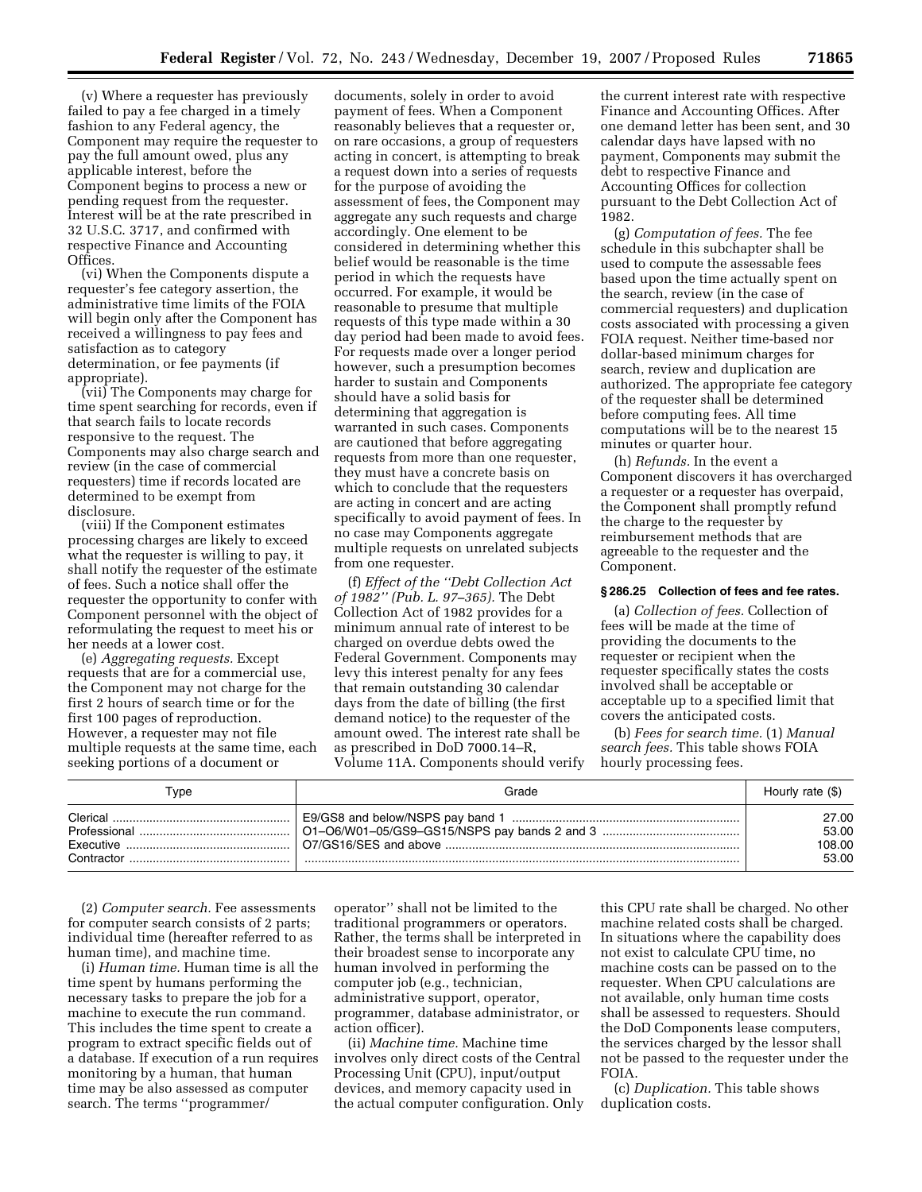(v) Where a requester has previously failed to pay a fee charged in a timely fashion to any Federal agency, the Component may require the requester to pay the full amount owed, plus any applicable interest, before the Component begins to process a new or pending request from the requester. Interest will be at the rate prescribed in 32 U.S.C. 3717, and confirmed with respective Finance and Accounting Offices.

(vi) When the Components dispute a requester's fee category assertion, the administrative time limits of the FOIA will begin only after the Component has received a willingness to pay fees and satisfaction as to category determination, or fee payments (if appropriate).

(vii) The Components may charge for time spent searching for records, even if that search fails to locate records responsive to the request. The Components may also charge search and review (in the case of commercial requesters) time if records located are determined to be exempt from disclosure.

(viii) If the Component estimates processing charges are likely to exceed what the requester is willing to pay, it shall notify the requester of the estimate of fees. Such a notice shall offer the requester the opportunity to confer with Component personnel with the object of reformulating the request to meet his or her needs at a lower cost.

(e) *Aggregating requests.* Except requests that are for a commercial use, the Component may not charge for the first 2 hours of search time or for the first 100 pages of reproduction. However, a requester may not file multiple requests at the same time, each seeking portions of a document or

documents, solely in order to avoid payment of fees. When a Component reasonably believes that a requester or, on rare occasions, a group of requesters acting in concert, is attempting to break a request down into a series of requests for the purpose of avoiding the assessment of fees, the Component may aggregate any such requests and charge accordingly. One element to be considered in determining whether this belief would be reasonable is the time period in which the requests have occurred. For example, it would be reasonable to presume that multiple requests of this type made within a 30 day period had been made to avoid fees. For requests made over a longer period however, such a presumption becomes harder to sustain and Components should have a solid basis for determining that aggregation is warranted in such cases. Components are cautioned that before aggregating requests from more than one requester, they must have a concrete basis on which to conclude that the requesters are acting in concert and are acting specifically to avoid payment of fees. In no case may Components aggregate multiple requests on unrelated subjects from one requester.

(f) *Effect of the ''Debt Collection Act of 1982'' (Pub. L. 97–365).* The Debt Collection Act of 1982 provides for a minimum annual rate of interest to be charged on overdue debts owed the Federal Government. Components may levy this interest penalty for any fees that remain outstanding 30 calendar days from the date of billing (the first demand notice) to the requester of the amount owed. The interest rate shall be as prescribed in DoD 7000.14–R, Volume 11A. Components should verify

the current interest rate with respective Finance and Accounting Offices. After one demand letter has been sent, and 30 calendar days have lapsed with no payment, Components may submit the debt to respective Finance and Accounting Offices for collection pursuant to the Debt Collection Act of 1982.

(g) *Computation of fees.* The fee schedule in this subchapter shall be used to compute the assessable fees based upon the time actually spent on the search, review (in the case of commercial requesters) and duplication costs associated with processing a given FOIA request. Neither time-based nor dollar-based minimum charges for search, review and duplication are authorized. The appropriate fee category of the requester shall be determined before computing fees. All time computations will be to the nearest 15 minutes or quarter hour.

(h) *Refunds.* In the event a Component discovers it has overcharged a requester or a requester has overpaid, the Component shall promptly refund the charge to the requester by reimbursement methods that are agreeable to the requester and the Component.

#### **§ 286.25 Collection of fees and fee rates.**

(a) *Collection of fees.* Collection of fees will be made at the time of providing the documents to the requester or recipient when the requester specifically states the costs involved shall be acceptable or acceptable up to a specified limit that covers the anticipated costs.

(b) *Fees for search time.* (1) *Manual search fees.* This table shows FOIA hourly processing fees.

| ⊺vpe     | Grade | Hourly rate (\$)                  |
|----------|-------|-----------------------------------|
| Clerical |       | 27.00<br>53.00<br>108.00<br>53.00 |

(2) *Computer search.* Fee assessments for computer search consists of 2 parts; individual time (hereafter referred to as human time), and machine time.

(i) *Human time.* Human time is all the time spent by humans performing the necessary tasks to prepare the job for a machine to execute the run command. This includes the time spent to create a program to extract specific fields out of a database. If execution of a run requires monitoring by a human, that human time may be also assessed as computer search. The terms ''programmer/

operator'' shall not be limited to the traditional programmers or operators. Rather, the terms shall be interpreted in their broadest sense to incorporate any human involved in performing the computer job (e.g., technician, administrative support, operator, programmer, database administrator, or action officer).

(ii) *Machine time.* Machine time involves only direct costs of the Central Processing Unit (CPU), input/output devices, and memory capacity used in the actual computer configuration. Only

this CPU rate shall be charged. No other machine related costs shall be charged. In situations where the capability does not exist to calculate CPU time, no machine costs can be passed on to the requester. When CPU calculations are not available, only human time costs shall be assessed to requesters. Should the DoD Components lease computers, the services charged by the lessor shall not be passed to the requester under the FOIA.

(c) *Duplication.* This table shows duplication costs.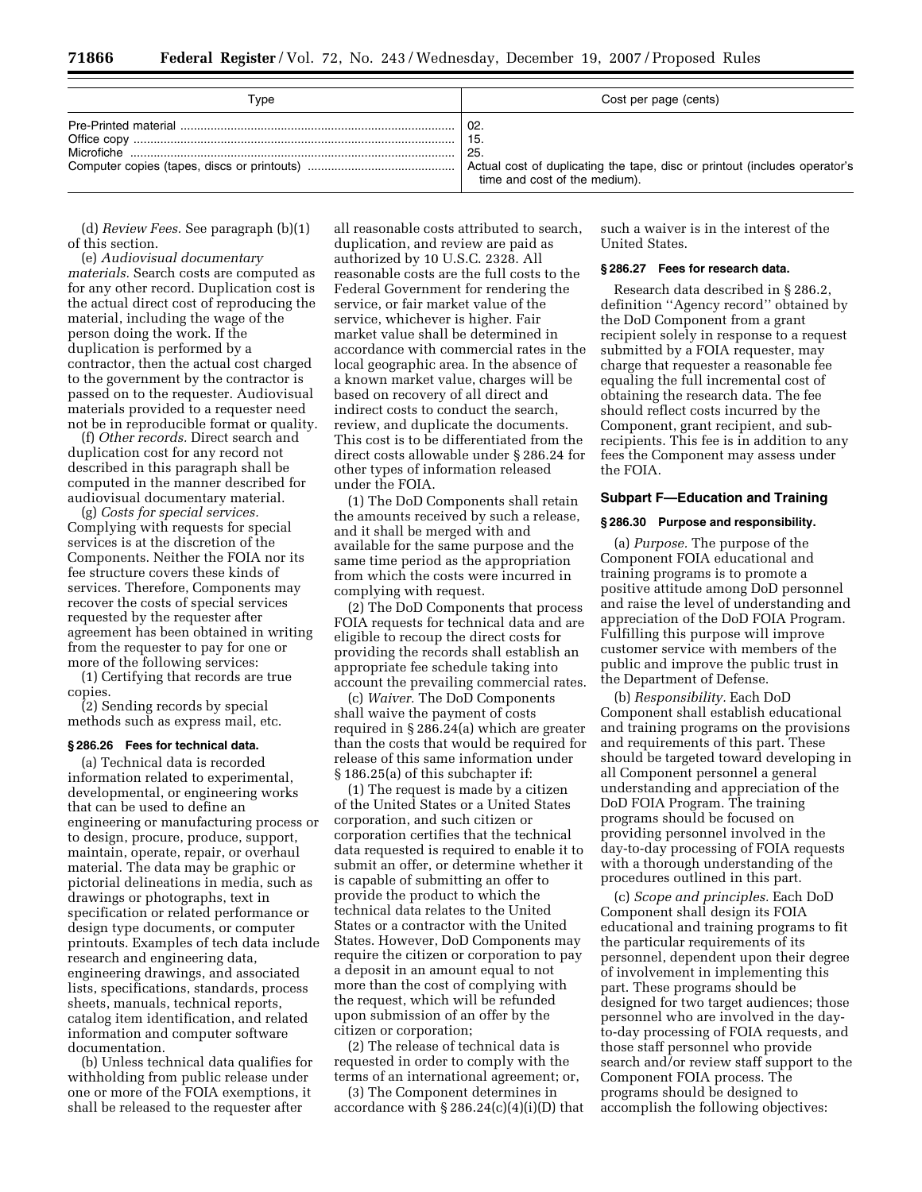| Type | Cost per page (cents)                                                                                                                        |
|------|----------------------------------------------------------------------------------------------------------------------------------------------|
|      | $^{\circ}$ 02.<br>-15.<br>25.<br>Actual cost of duplicating the tape, disc or printout (includes operator's<br>time and cost of the medium). |

(d) *Review Fees.* See paragraph (b)(1) of this section.

(e) *Audiovisual documentary materials.* Search costs are computed as for any other record. Duplication cost is the actual direct cost of reproducing the material, including the wage of the person doing the work. If the duplication is performed by a contractor, then the actual cost charged to the government by the contractor is passed on to the requester. Audiovisual materials provided to a requester need not be in reproducible format or quality.

(f) *Other records.* Direct search and duplication cost for any record not described in this paragraph shall be computed in the manner described for audiovisual documentary material.

(g) *Costs for special services.*  Complying with requests for special services is at the discretion of the Components. Neither the FOIA nor its fee structure covers these kinds of services. Therefore, Components may recover the costs of special services requested by the requester after agreement has been obtained in writing from the requester to pay for one or more of the following services:

(1) Certifying that records are true copies.

(2) Sending records by special methods such as express mail, etc.

#### **§ 286.26 Fees for technical data.**

(a) Technical data is recorded information related to experimental, developmental, or engineering works that can be used to define an engineering or manufacturing process or to design, procure, produce, support, maintain, operate, repair, or overhaul material. The data may be graphic or pictorial delineations in media, such as drawings or photographs, text in specification or related performance or design type documents, or computer printouts. Examples of tech data include research and engineering data, engineering drawings, and associated lists, specifications, standards, process sheets, manuals, technical reports, catalog item identification, and related information and computer software documentation.

(b) Unless technical data qualifies for withholding from public release under one or more of the FOIA exemptions, it shall be released to the requester after

all reasonable costs attributed to search, duplication, and review are paid as authorized by 10 U.S.C. 2328. All reasonable costs are the full costs to the Federal Government for rendering the service, or fair market value of the service, whichever is higher. Fair market value shall be determined in accordance with commercial rates in the local geographic area. In the absence of a known market value, charges will be based on recovery of all direct and indirect costs to conduct the search, review, and duplicate the documents. This cost is to be differentiated from the direct costs allowable under § 286.24 for other types of information released under the FOIA.

(1) The DoD Components shall retain the amounts received by such a release, and it shall be merged with and available for the same purpose and the same time period as the appropriation from which the costs were incurred in complying with request.

(2) The DoD Components that process FOIA requests for technical data and are eligible to recoup the direct costs for providing the records shall establish an appropriate fee schedule taking into account the prevailing commercial rates.

(c) *Waiver.* The DoD Components shall waive the payment of costs required in § 286.24(a) which are greater than the costs that would be required for release of this same information under § 186.25(a) of this subchapter if:

(1) The request is made by a citizen of the United States or a United States corporation, and such citizen or corporation certifies that the technical data requested is required to enable it to submit an offer, or determine whether it is capable of submitting an offer to provide the product to which the technical data relates to the United States or a contractor with the United States. However, DoD Components may require the citizen or corporation to pay a deposit in an amount equal to not more than the cost of complying with the request, which will be refunded upon submission of an offer by the citizen or corporation;

(2) The release of technical data is requested in order to comply with the terms of an international agreement; or,

(3) The Component determines in accordance with  $\S 286.24(c)(4)(i)(D)$  that

such a waiver is in the interest of the United States.

#### **§ 286.27 Fees for research data.**

Research data described in § 286.2, definition ''Agency record'' obtained by the DoD Component from a grant recipient solely in response to a request submitted by a FOIA requester, may charge that requester a reasonable fee equaling the full incremental cost of obtaining the research data. The fee should reflect costs incurred by the Component, grant recipient, and subrecipients. This fee is in addition to any fees the Component may assess under the FOIA.

# **Subpart F—Education and Training**

#### **§ 286.30 Purpose and responsibility.**

(a) *Purpose.* The purpose of the Component FOIA educational and training programs is to promote a positive attitude among DoD personnel and raise the level of understanding and appreciation of the DoD FOIA Program. Fulfilling this purpose will improve customer service with members of the public and improve the public trust in the Department of Defense.

(b) *Responsibility.* Each DoD Component shall establish educational and training programs on the provisions and requirements of this part. These should be targeted toward developing in all Component personnel a general understanding and appreciation of the DoD FOIA Program. The training programs should be focused on providing personnel involved in the day-to-day processing of FOIA requests with a thorough understanding of the procedures outlined in this part.

(c) *Scope and principles.* Each DoD Component shall design its FOIA educational and training programs to fit the particular requirements of its personnel, dependent upon their degree of involvement in implementing this part. These programs should be designed for two target audiences; those personnel who are involved in the dayto-day processing of FOIA requests, and those staff personnel who provide search and/or review staff support to the Component FOIA process. The programs should be designed to accomplish the following objectives: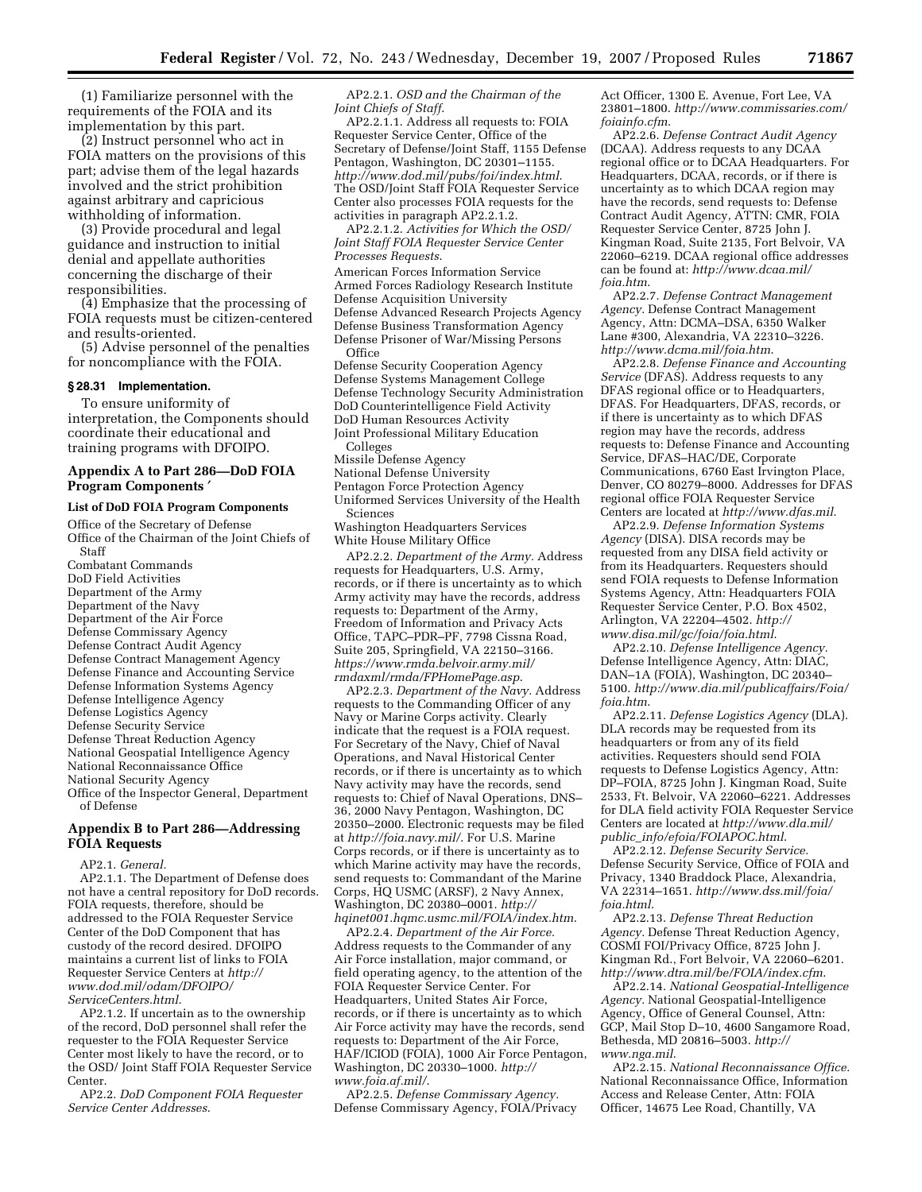(1) Familiarize personnel with the requirements of the FOIA and its implementation by this part.

(2) Instruct personnel who act in FOIA matters on the provisions of this part; advise them of the legal hazards involved and the strict prohibition against arbitrary and capricious withholding of information.

(3) Provide procedural and legal guidance and instruction to initial denial and appellate authorities concerning the discharge of their responsibilities.

(4) Emphasize that the processing of FOIA requests must be citizen-centered and results-oriented.

(5) Advise personnel of the penalties for noncompliance with the FOIA.

#### **§ 28.31 Implementation.**

To ensure uniformity of interpretation, the Components should coordinate their educational and training programs with DFOIPO.

### **Appendix A to Part 286—DoD FOIA Program Components** ′

#### **List of DoD FOIA Program Components**

Office of the Secretary of Defense Office of the Chairman of the Joint Chiefs of Staff Combatant Commands DoD Field Activities Department of the Army Department of the Navy Department of the Air Force Defense Commissary Agency Defense Contract Audit Agency Defense Contract Management Agency Defense Finance and Accounting Service Defense Information Systems Agency Defense Intelligence Agency Defense Logistics Agency Defense Security Service Defense Threat Reduction Agency National Geospatial Intelligence Agency National Reconnaissance Office National Security Agency Office of the Inspector General, Department of Defense

# **Appendix B to Part 286—Addressing FOIA Requests**

AP2.1. *General.* 

AP2.1.1. The Department of Defense does not have a central repository for DoD records. FOIA requests, therefore, should be addressed to the FOIA Requester Service Center of the DoD Component that has custody of the record desired. DFOIPO maintains a current list of links to FOIA Requester Service Centers at *http:// [www.dod.mil/odam/DFOIPO/](http://www.dod.mil/odam/DFOIPO/ServiceCenters.html)  ServiceCenters.html*.

AP2.1.2. If uncertain as to the ownership of the record, DoD personnel shall refer the requester to the FOIA Requester Service Center most likely to have the record, or to the OSD/ Joint Staff FOIA Requester Service Center.

AP2.2. *DoD Component FOIA Requester Service Center Addresses*.

AP2.2.1. *OSD and the Chairman of the Joint Chiefs of Staff*.

AP2.2.1.1. Address all requests to: FOIA Requester Service Center, Office of the Secretary of Defense/Joint Staff, 1155 Defense Pentagon, Washington, DC 20301–1155. *<http://www.dod.mil/pubs/foi/index.html>*. The OSD/Joint Staff FOIA Requester Service Center also processes FOIA requests for the activities in paragraph AP2.2.1.2.

AP2.2.1.2. *Activities for Which the OSD/ Joint Staff FOIA Requester Service Center Processes Requests*.

American Forces Information Service Armed Forces Radiology Research Institute Defense Acquisition University Defense Advanced Research Projects Agency Defense Business Transformation Agency Defense Prisoner of War/Missing Persons **Office** Defense Security Cooperation Agency

Defense Systems Management College Defense Technology Security Administration DoD Counterintelligence Field Activity DoD Human Resources Activity Joint Professional Military Education Colleges Missile Defense Agency National Defense University Pentagon Force Protection Agency Uniformed Services University of the Health Sciences Washington Headquarters Services

White House Military Office

AP2.2.2. *Department of the Army.* Address requests for Headquarters, U.S. Army, records, or if there is uncertainty as to which Army activity may have the records, address requests to: Department of the Army, Freedom of Information and Privacy Acts Office, TAPC–PDR–PF, 7798 Cissna Road, Suite 205, Springfield, VA 22150–3166. *[https://www.rmda.belvoir.army.mil/](https://www.rmda.belvoir.army.mil/rmdaxml/rmda/FPHomePage.asp)  rmdaxml/rmda/FPHomePage.asp*.

AP2.2.3. *Department of the Navy.* Address requests to the Commanding Officer of any Navy or Marine Corps activity. Clearly indicate that the request is a FOIA request. For Secretary of the Navy, Chief of Naval Operations, and Naval Historical Center records, or if there is uncertainty as to which Navy activity may have the records, send requests to: Chief of Naval Operations, DNS– 36, 2000 Navy Pentagon, Washington, DC 20350–2000. Electronic requests may be filed at *[http://foia.navy.mil/](http://foia.navy.mil)*. For U.S. Marine Corps records, or if there is uncertainty as to which Marine activity may have the records, send requests to: Commandant of the Marine Corps, HQ USMC (ARSF), 2 Navy Annex, Washington, DC 20380–0001. *http:// [hqinet001.hqmc.usmc.mil/FOIA/index.htm](http://hqinet001.hqmc.usmc.mil/foia/index.htm)*.

AP2.2.4. *Department of the Air Force.*  Address requests to the Commander of any Air Force installation, major command, or field operating agency, to the attention of the FOIA Requester Service Center. For Headquarters, United States Air Force, records, or if there is uncertainty as to which Air Force activity may have the records, send requests to: Department of the Air Force, HAF/ICIOD (FOIA), 1000 Air Force Pentagon, [Washington, DC 20330–1000.](http://www.foia.af.mil/) *http:// www.foia.af.mil/*.

AP2.2.5. *Defense Commissary Agency.*  Defense Commissary Agency, FOIA/Privacy Act Officer, 1300 E. Avenue, Fort Lee, VA 23801–1800. *[http://www.commissaries.com/](http://www.commissaries.com/foiainfo.cfm)  foiainfo.cfm*.

AP2.2.6. *Defense Contract Audit Agency*  (DCAA). Address requests to any DCAA regional office or to DCAA Headquarters. For Headquarters, DCAA, records, or if there is uncertainty as to which DCAA region may have the records, send requests to: Defense Contract Audit Agency, ATTN: CMR, FOIA Requester Service Center, 8725 John J. Kingman Road, Suite 2135, Fort Belvoir, VA 22060–6219. DCAA regional office addresses can be found at: *[http://www.dcaa.mil/](http://www.dcaa.mil/foia.htm)  foia.htm*.

AP2.2.7. *Defense Contract Management Agency.* Defense Contract Management Agency, Attn: DCMA–DSA, 6350 Walker Lane #300, Alexandria, VA 22310–3226. *<http://www.dcma.mil/foia.htm>*.

AP2.2.8. *Defense Finance and Accounting Service* (DFAS). Address requests to any DFAS regional office or to Headquarters, DFAS. For Headquarters, DFAS, records, or if there is uncertainty as to which DFAS region may have the records, address requests to: Defense Finance and Accounting Service, DFAS–HAC/DE, Corporate Communications, 6760 East Irvington Place, Denver, CO 80279–8000. Addresses for DFAS regional office FOIA Requester Service Centers are located at *<http://www.dfas.mil>*.

AP2.2.9. *Defense Information Systems Agency* (DISA). DISA records may be requested from any DISA field activity or from its Headquarters. Requesters should send FOIA requests to Defense Information Systems Agency, Attn: Headquarters FOIA Requester Service Center, P.O. Box 4502, Arlington, VA 22204–4502. *http:// [www.disa.mil/gc/foia/foia.html](http://www.disa.mil/gc/foia/foia.html)*.

AP2.2.10. *Defense Intelligence Agency.*  Defense Intelligence Agency, Attn: DIAC, DAN–1A (FOIA), Washington, DC 20340– 5100. *[http://www.dia.mil/publicaffairs/Foia/](http://www.dia.mil/publicaffairs/Foia/foia.htm)  foia.htm*.

AP2.2.11. *Defense Logistics Agency* (DLA). DLA records may be requested from its headquarters or from any of its field activities. Requesters should send FOIA requests to Defense Logistics Agency, Attn: DP–FOIA, 8725 John J. Kingman Road, Suite 2533, Ft. Belvoir, VA 22060–6221. Addresses for DLA field activity FOIA Requester Service Centers are located at *http://www.dla.mil/ public*\_*[info/efoia/FOIAPOC.html](http://www.dla.mil/public_info/efoia/FOIAPOC.html)*.

AP2.2.12. *Defense Security Service.*  Defense Security Service, Office of FOIA and Privacy, 1340 Braddock Place, Alexandria, VA 22314–1651. *[http://www.dss.mil/foia/](http://www.dss.mil/foia/foia.html)  foia.html*.

AP2.2.13. *Defense Threat Reduction Agency.* Defense Threat Reduction Agency, COSMI FOI/Privacy Office, 8725 John J. Kingman Rd., Fort Belvoir, VA 22060–6201. *<http://www.dtra.mil/be/FOIA/index.cfm>*.

AP2.2.14. *National Geospatial-Intelligence Agency.* National Geospatial-Intelligence Agency, Office of General Counsel, Attn: GCP, Mail Stop D–10, 4600 Sangamore Road, [Bethesda, MD 20816–5003.](http://www.nga.mil) *http:// www.nga.mil*.

AP2.2.15. *National Reconnaissance Office.*  National Reconnaissance Office, Information Access and Release Center, Attn: FOIA Officer, 14675 Lee Road, Chantilly, VA